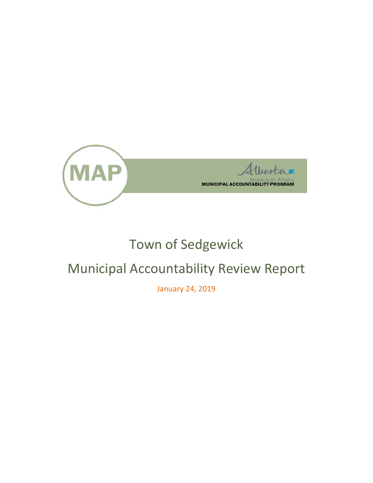

# Town of Sedgewick

# Municipal Accountability Review Report

January 24, 2019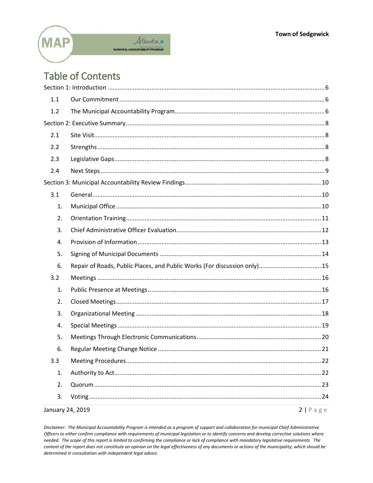

## **Table of Contents**

| 1.1 |                                                                           |                    |
|-----|---------------------------------------------------------------------------|--------------------|
| 1.2 |                                                                           |                    |
|     |                                                                           |                    |
| 2.1 |                                                                           |                    |
| 2.2 |                                                                           |                    |
| 2.3 |                                                                           |                    |
| 2.4 |                                                                           |                    |
|     |                                                                           |                    |
| 3.1 |                                                                           |                    |
| 1.  |                                                                           |                    |
| 2.  |                                                                           |                    |
| 3.  |                                                                           |                    |
| 4.  |                                                                           |                    |
| 5.  |                                                                           |                    |
| 6.  | Repair of Roads, Public Places, and Public Works (For discussion only) 15 |                    |
| 3.2 |                                                                           |                    |
| 1.  |                                                                           |                    |
| 2.  |                                                                           |                    |
| 3.  |                                                                           |                    |
| 4.  |                                                                           |                    |
| 5.  |                                                                           |                    |
| 6.  |                                                                           |                    |
| 3.3 |                                                                           |                    |
| 1.  |                                                                           |                    |
| 2.  |                                                                           |                    |
| 3.  |                                                                           |                    |
|     | January 24, 2019                                                          | $2   P \text{age}$ |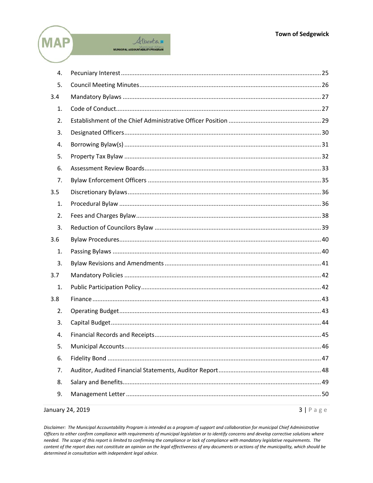



|     | January 24, 2019 | $3   P \text{age}$ |
|-----|------------------|--------------------|
| 9.  |                  |                    |
| 8.  |                  |                    |
| 7.  |                  |                    |
| 6.  |                  |                    |
| 5.  |                  |                    |
| 4.  |                  |                    |
| 3.  |                  |                    |
| 2.  |                  |                    |
| 3.8 |                  |                    |
| 1.  |                  |                    |
| 3.7 |                  |                    |
| 3.  |                  |                    |
| 1.  |                  |                    |
| 3.6 |                  |                    |
| 3.  |                  |                    |
| 2.  |                  |                    |
| 1.  |                  |                    |
| 3.5 |                  |                    |
| 7.  |                  |                    |
| 6.  |                  |                    |
| 5.  |                  |                    |
| 4.  |                  |                    |
| 3.  |                  |                    |
| 2.  |                  |                    |
| 1.  |                  |                    |
| 3.4 |                  |                    |
| 5.  |                  |                    |
| 4.  |                  |                    |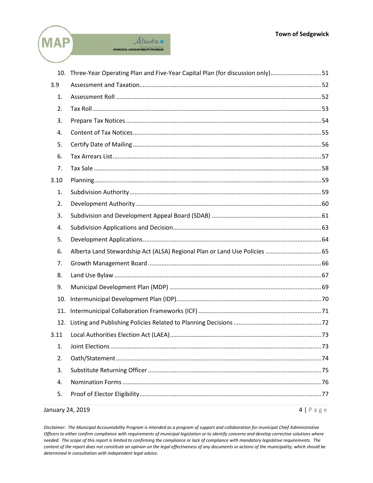

Alberta

|                  | 10. Three-Year Operating Plan and Five-Year Capital Plan (for discussion only)51 |                    |
|------------------|----------------------------------------------------------------------------------|--------------------|
| 3.9              |                                                                                  |                    |
| 1.               |                                                                                  |                    |
| 2.               |                                                                                  |                    |
| 3.               |                                                                                  |                    |
| 4.               |                                                                                  |                    |
| 5.               |                                                                                  |                    |
| 6.               |                                                                                  |                    |
| 7.               |                                                                                  |                    |
| 3.10             |                                                                                  |                    |
| 1.               |                                                                                  |                    |
| 2.               |                                                                                  |                    |
| 3.               |                                                                                  |                    |
| 4.               |                                                                                  |                    |
| 5.               |                                                                                  |                    |
| 6.               | Alberta Land Stewardship Act (ALSA) Regional Plan or Land Use Policies  65       |                    |
| 7.               |                                                                                  |                    |
| 8.               |                                                                                  |                    |
| 9.               |                                                                                  |                    |
| 10.              |                                                                                  |                    |
| 11.              |                                                                                  |                    |
| 12.              |                                                                                  |                    |
| 3.11             |                                                                                  |                    |
| 1.               |                                                                                  |                    |
| 2.               |                                                                                  |                    |
| 3.               |                                                                                  |                    |
| 4.               |                                                                                  |                    |
| 5.               |                                                                                  |                    |
| January 24, 2019 |                                                                                  | $4   P \text{age}$ |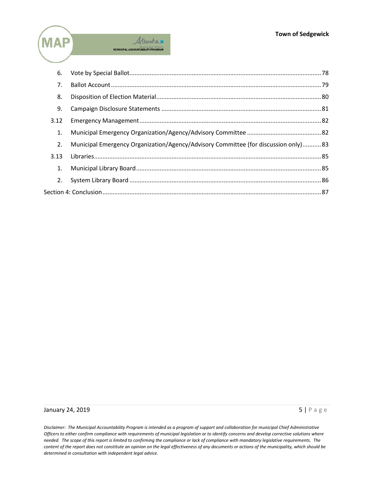

| 6.   |                                                                                    |  |
|------|------------------------------------------------------------------------------------|--|
| 7.   |                                                                                    |  |
| 8.   |                                                                                    |  |
| 9.   |                                                                                    |  |
| 3.12 |                                                                                    |  |
| 1.   |                                                                                    |  |
| 2.   | Municipal Emergency Organization/Agency/Advisory Committee (for discussion only)83 |  |
| 3.13 |                                                                                    |  |
| 1.   |                                                                                    |  |
| 2.   |                                                                                    |  |
|      |                                                                                    |  |

January 24, 2019 **5 | Page 12019**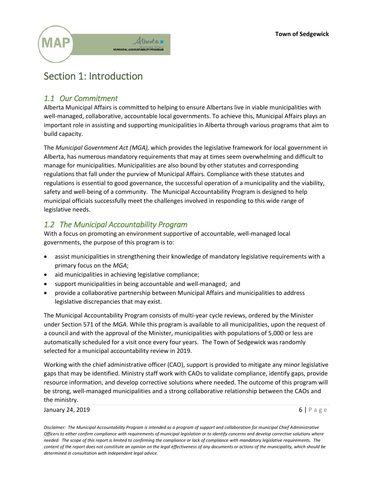

## <span id="page-5-0"></span>Section 1: Introduction

## <span id="page-5-1"></span>*1.1 Our Commitment*

Alberta Municipal Affairs is committed to helping to ensure Albertans live in viable municipalities with well-managed, collaborative, accountable local governments. To achieve this, Municipal Affairs plays an important role in assisting and supporting municipalities in Alberta through various programs that aim to build capacity.

The *Municipal Government Act (MGA),* which provides the legislative framework for local government in Alberta, has numerous mandatory requirements that may at times seem overwhelming and difficult to manage for municipalities. Municipalities are also bound by other statutes and corresponding regulations that fall under the purview of Municipal Affairs. Compliance with these statutes and regulations is essential to good governance, the successful operation of a municipality and the viability, safety and well-being of a community. The Municipal Accountability Program is designed to help municipal officials successfully meet the challenges involved in responding to this wide range of legislative needs.

## <span id="page-5-2"></span>*1.2 The Municipal Accountability Program*

With a focus on promoting an environment supportive of accountable, well-managed local governments, the purpose of this program is to:

- assist municipalities in strengthening their knowledge of mandatory legislative requirements with a primary focus on the *MGA*;
- aid municipalities in achieving legislative compliance;
- support municipalities in being accountable and well-managed; and
- provide a collaborative partnership between Municipal Affairs and municipalities to address legislative discrepancies that may exist.

The Municipal Accountability Program consists of multi-year cycle reviews, ordered by the Minister under Section 571 of the *MGA.* While this program is available to all municipalities, upon the request of a council and with the approval of the Minister, municipalities with populations of 5,000 or less are automatically scheduled for a visit once every four years. The Town of Sedgewick was randomly selected for a municipal accountability review in 2019.

Working with the chief administrative officer (CAO), support is provided to mitigate any minor legislative gaps that may be identified. Ministry staff work with CAOs to validate compliance, identify gaps, provide resource information, and develop corrective solutions where needed. The outcome of this program will be strong, well-managed municipalities and a strong collaborative relationship between the CAOs and the ministry.

#### January 24, 2019  $\overline{6 \mid P}$  a g e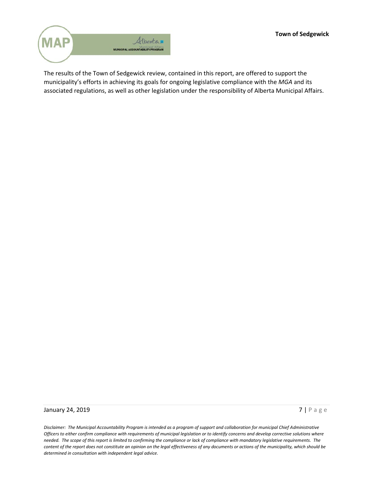

The results of the Town of Sedgewick review, contained in this report, are offered to support the municipality's efforts in achieving its goals for ongoing legislative compliance with the *MGA* and its associated regulations, as well as other legislation under the responsibility of Alberta Municipal Affairs.

#### January 24, 2019 **7 | Page 12, 2019** 7 | Page 2019 **7 | Page 2019**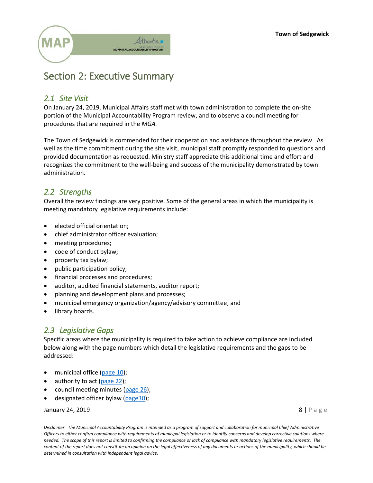

## <span id="page-7-0"></span>Section 2: Executive Summary

## <span id="page-7-1"></span>*2.1 Site Visit*

On January 24, 2019, Municipal Affairs staff met with town administration to complete the on-site portion of the Municipal Accountability Program review, and to observe a council meeting for procedures that are required in the *MGA.*

The Town of Sedgewick is commended for their cooperation and assistance throughout the review. As well as the time commitment during the site visit, municipal staff promptly responded to questions and provided documentation as requested. Ministry staff appreciate this additional time and effort and recognizes the commitment to the well-being and success of the municipality demonstrated by town administration.

## <span id="page-7-2"></span>*2.2 Strengths*

Overall the review findings are very positive. Some of the general areas in which the municipality is meeting mandatory legislative requirements include:

- elected official orientation;
- chief administrator officer evaluation;
- meeting procedures;
- code of conduct bylaw;
- property tax bylaw;
- public participation policy;
- financial processes and procedures;
- auditor, audited financial statements, auditor report;
- planning and development plans and processes;
- municipal emergency organization/agency/advisory committee; and
- library boards.

## <span id="page-7-3"></span>*2.3 Legislative Gaps*

Specific areas where the municipality is required to take action to achieve compliance are included below along with the page numbers which detail the legislative requirements and the gaps to be addressed:

- municipal office [\(page 10\)](#page-9-2);
- $\bullet$  authority to act [\(page 22\)](#page-21-1);
- $\bullet$  council meeting minutes [\(page 26\)](#page-25-0);
- designated officer bylaw [\(page30\)](#page-29-0);

January 24, 2019  $\blacksquare$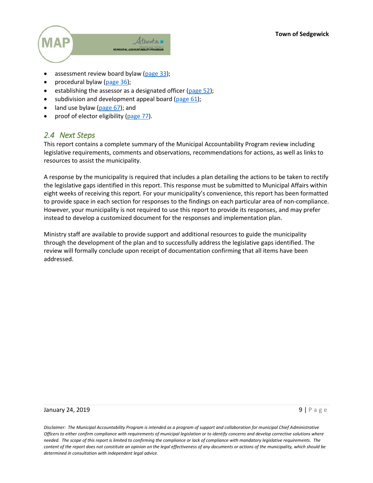

- assessment review board bylaw [\(page 33\)](#page-32-0);
- procedural bylaw [\(page 36](#page-35-1));
- establishing the assessor as a designated officer [\(page 52\)](#page-51-1);
- subdivision and development appeal board (page  $61$ );
- land use bylaw [\(page 67](#page-66-0)); and
- proof of elector eligibility [\(page 77](#page-76-0)).

### <span id="page-8-0"></span>*2.4 Next Steps*

This report contains a complete summary of the Municipal Accountability Program review including legislative requirements, comments and observations, recommendations for actions, as well as links to resources to assist the municipality.

A response by the municipality is required that includes a plan detailing the actions to be taken to rectify the legislative gaps identified in this report. This response must be submitted to Municipal Affairs within eight weeks of receiving this report. For your municipality's convenience, this report has been formatted to provide space in each section for responses to the findings on each particular area of non-compliance. However, your municipality is not required to use this report to provide its responses, and may prefer instead to develop a customized document for the responses and implementation plan.

Ministry staff are available to provide support and additional resources to guide the municipality through the development of the plan and to successfully address the legislative gaps identified. The review will formally conclude upon receipt of documentation confirming that all items have been addressed.

#### January 24, 2019  $\Box$  Page 1991  $\Box$  Page 1991  $\Box$  Page 1991  $\Box$  9 | Page 1991  $\Box$  9 | Page 1991  $\Box$  9 | Page 1991  $\Box$  9 | Page 1991  $\Box$  9 | Page 1991  $\Box$  1991  $\Box$  1991  $\Box$  1991  $\Box$  1991  $\Box$  1991  $\Box$  1991  $\Box$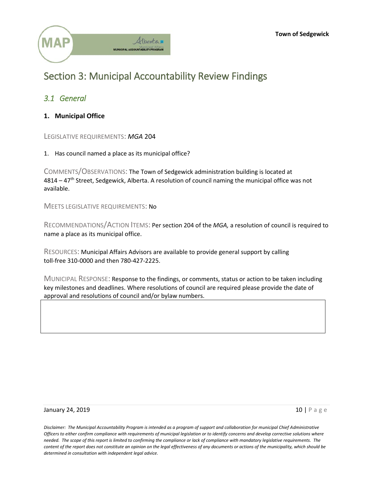



## <span id="page-9-0"></span>Section 3: Municipal Accountability Review Findings

## <span id="page-9-1"></span>*3.1 General*

<span id="page-9-2"></span>**1. Municipal Office** 

LEGISLATIVE REQUIREMENTS: *MGA* 204

1. Has council named a place as its municipal office?

COMMENTS/OBSERVATIONS: The Town of Sedgewick administration building is located at  $4814 - 47$ <sup>th</sup> Street, Sedgewick, Alberta. A resolution of council naming the municipal office was not available.

MEETS LEGISLATIVE REQUIREMENTS: No

RECOMMENDATIONS/ACTION ITEMS: Per section 204 of the *MGA,* a resolution of council is required to name a place as its municipal office.

RESOURCES: Municipal Affairs Advisors are available to provide general support by calling toll-free 310-0000 and then 780-427-2225.

MUNICIPAL RESPONSE: Response to the findings, or comments, status or action to be taken including key milestones and deadlines. Where resolutions of council are required please provide the date of approval and resolutions of council and/or bylaw numbers.

#### January 24, 2019 **10 | Page 10 | Page 10 | Page 10 | Page 10 | Page 10 | Page 10 | Page 10 | Page 10 | Page 10 | Page 10 | Page 10 | Page 10 | Page 10 | Page 10 | Page 10 | Page 10 | Page 10 | Page 10 | Page 10 | Page 10**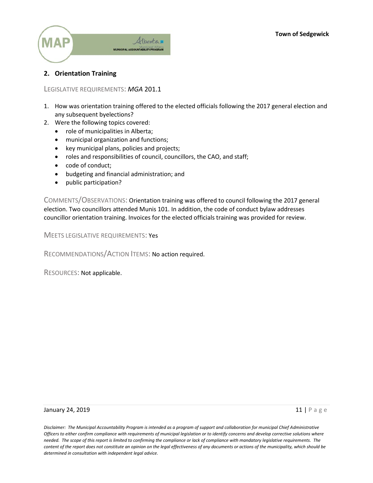

#### <span id="page-10-0"></span>**2. Orientation Training**

#### LEGISLATIVE REQUIREMENTS: *MGA* 201.1

- 1. How was orientation training offered to the elected officials following the 2017 general election and any subsequent byelections?
- 2. Were the following topics covered:
	- role of municipalities in Alberta;
	- municipal organization and functions;
	- key municipal plans, policies and projects;
	- roles and responsibilities of council, councillors, the CAO, and staff;
	- code of conduct;
	- budgeting and financial administration; and
	- public participation?

COMMENTS/OBSERVATIONS: Orientation training was offered to council following the 2017 general election. Two councillors attended Munis 101. In addition, the code of conduct bylaw addresses councillor orientation training. Invoices for the elected officials training was provided for review.

MEETS LEGISLATIVE REQUIREMENTS: Yes

RECOMMENDATIONS/ACTION ITEMS: No action required.

RESOURCES: Not applicable.

#### January 24, 2019 **11 | Page 11 | Page 11 | Page 12** | Page 12 | Page 12 | Page 12 | Page 12 | Page 12 | Page 12 | Page 12 | Page 12 | Page 12 | Page 12 | Page 12 | Page 12 | Page 12 | Page 12 | Page 12 | Page 12 | Page 12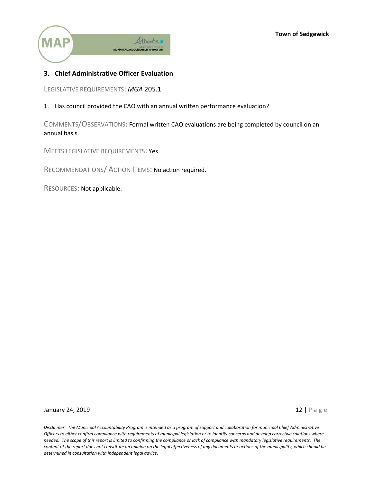

#### <span id="page-11-0"></span>**3. Chief Administrative Officer Evaluation**

LEGISLATIVE REQUIREMENTS: *MGA* 205.1

1. Has council provided the CAO with an annual written performance evaluation?

COMMENTS/OBSERVATIONS: Formal written CAO evaluations are being completed by council on an annual basis.

MEETS LEGISLATIVE REQUIREMENTS: Yes

RECOMMENDATIONS/ ACTION ITEMS: No action required.

RESOURCES: Not applicable.

January 24, 2019 **12 | Page 12 | Page 12 | Page 12 | Page 12 | Page 12 | Page 12 | Page 12 | Page 12 | Page 12 | Page 12 | Page 12 | Page 12 | Page 12 | Page 12 | Page 12 | Page 12 | Page 12 | Page 12 | Page 12 | Page 12**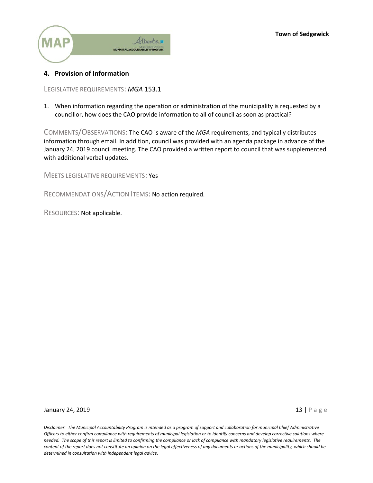

#### <span id="page-12-0"></span>**4. Provision of Information**

LEGISLATIVE REQUIREMENTS: *MGA* 153.1

1. When information regarding the operation or administration of the municipality is requested by a councillor, how does the CAO provide information to all of council as soon as practical?

COMMENTS/OBSERVATIONS: The CAO is aware of the *MGA* requirements, and typically distributes information through email. In addition, council was provided with an agenda package in advance of the January 24, 2019 council meeting. The CAO provided a written report to council that was supplemented with additional verbal updates.

MEETS LEGISLATIVE REQUIREMENTS: Yes

RECOMMENDATIONS/ACTION ITEMS: No action required.

RESOURCES: Not applicable.

January 24, 2019 **13 | Page 13 | Page 13 | Page 13 | Page 13 | Page 13 | Page 13 | Page 13 | Page 13 | Page 13 | Page 13 | Page 13 | Page 13 | Page 13 | Page 13 | Page 13 | Page 13 | Page 13 | Page 13 | Page 13 | Page 13**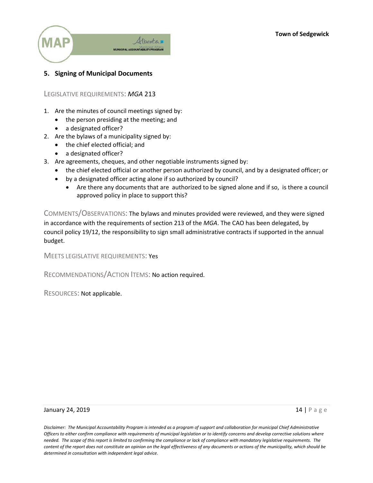

### <span id="page-13-0"></span>**5. Signing of Municipal Documents**

LEGISLATIVE REQUIREMENTS: *MGA* 213

- 1. Are the minutes of council meetings signed by:
	- $\bullet$  the person presiding at the meeting; and
	- a designated officer?
- 2. Are the bylaws of a municipality signed by:
	- the chief elected official; and
	- a designated officer?
- 3. Are agreements, cheques, and other negotiable instruments signed by:
	- the chief elected official or another person authorized by council, and by a designated officer; or
	- by a designated officer acting alone if so authorized by council?
		- Are there any documents that are authorized to be signed alone and if so, is there a council approved policy in place to support this?

COMMENTS/OBSERVATIONS: The bylaws and minutes provided were reviewed, and they were signed in accordance with the requirements of section 213 of the *MGA*. The CAO has been delegated, by council policy 19/12, the responsibility to sign small administrative contracts if supported in the annual budget.

MEETS LEGISLATIVE REQUIREMENTS: Yes

RECOMMENDATIONS/ACTION ITEMS: No action required.

RESOURCES: Not applicable.

#### January 24, 2019 **14 | Page 14 | Page 14 | Page 14 | Page 14 | Page 14 | Page 14 | Page 14 | Page 14 | Page 14 | Page 14 | Page 14 | Page 14 | Page 14 | Page 14 | Page 14 | Page 14 | Page 14 | Page 14 | Page 14 | Page 14**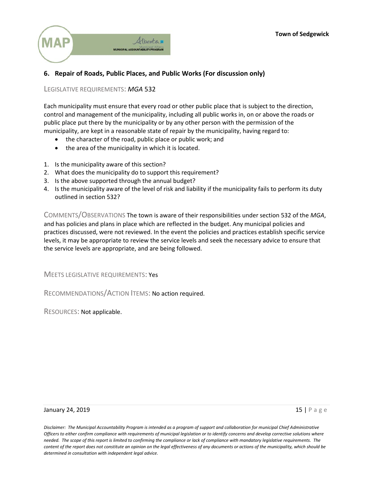

#### <span id="page-14-0"></span>**6. Repair of Roads, Public Places, and Public Works (For discussion only)**

#### LEGISLATIVE REQUIREMENTS: *MGA* 532

Each municipality must ensure that every road or other public place that is subject to the direction, control and management of the municipality, including all public works in, on or above the roads or public place put there by the municipality or by any other person with the permission of the municipality, are kept in a reasonable state of repair by the municipality, having regard to:

- the character of the road, public place or public work; and
- the area of the municipality in which it is located.
- 1. Is the municipality aware of this section?
- 2. What does the municipality do to support this requirement?
- 3. Is the above supported through the annual budget?
- 4. Is the municipality aware of the level of risk and liability if the municipality fails to perform its duty outlined in section 532?

COMMENTS/OBSERVATIONS The town is aware of their responsibilities under section 532 of the *MGA*, and has policies and plans in place which are reflected in the budget. Any municipal policies and practices discussed, were not reviewed. In the event the policies and practices establish specific service levels, it may be appropriate to review the service levels and seek the necessary advice to ensure that the service levels are appropriate, and are being followed.

MEETS LEGISLATIVE REQUIREMENTS: Yes

RECOMMENDATIONS/ACTION ITEMS: No action required.

RESOURCES: Not applicable.

#### January 24, 2019 15 | Page 15 | Page 15 | Page 15 | Page 15 | Page 15 | Page 15 | Page 15 | Page 15 | Page 15 | Page 15 | Page 15 | Page 15 | Page 15 | Page 15 | Page 15 | Page 15 | Page 15 | Page 15 | Page 15 | Page 15 |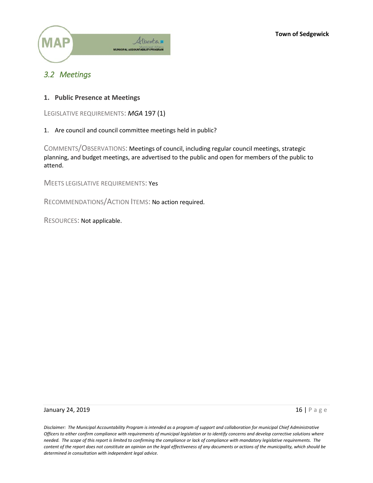

## <span id="page-15-0"></span>*3.2 Meetings*

<span id="page-15-1"></span>**1. Public Presence at Meetings**

LEGISLATIVE REQUIREMENTS: *MGA* 197 (1)

1. Are council and council committee meetings held in public?

COMMENTS/OBSERVATIONS: Meetings of council, including regular council meetings, strategic planning, and budget meetings, are advertised to the public and open for members of the public to attend.

MEETS LEGISLATIVE REQUIREMENTS: Yes

RECOMMENDATIONS/ACTION ITEMS: No action required.

RESOURCES: Not applicable.

January 24, 2019 **16 | Page 16 | Page 16 | Page 16 | Page 16 | Page 16 | Page 16 | Page 16 | Page 16 | Page 16 | Page 16 | Page 16 | Page 16 | Page 16 | Page 16 | Page 16 | Page 16 | Page 16 | Page 16 | Page 16 | Page 16**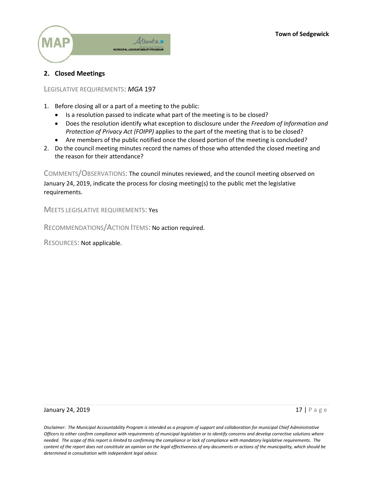

#### <span id="page-16-0"></span>**2. Closed Meetings**

LEGISLATIVE REQUIREMENTS: *MGA* 197

- 1. Before closing all or a part of a meeting to the public:
	- Is a resolution passed to indicate what part of the meeting is to be closed?
	- Does the resolution identify what exception to disclosure under the *Freedom of Information and Protection of Privacy Act (FOIPP)* applies to the part of the meeting that is to be closed?
	- Are members of the public notified once the closed portion of the meeting is concluded?
- 2. Do the council meeting minutes record the names of those who attended the closed meeting and the reason for their attendance?

COMMENTS/OBSERVATIONS: The council minutes reviewed, and the council meeting observed on January 24, 2019, indicate the process for closing meeting(s) to the public met the legislative requirements.

MEETS LEGISLATIVE REQUIREMENTS: Yes

RECOMMENDATIONS/ACTION ITEMS: No action required.

RESOURCES: Not applicable.

January 24, 2019 17 | Page 17 | Page 17 | Page 17 | Page 17 | Page 17 | Page 17 | Page 17 | Page 17 | Page 17 | Page 17 | Page 17 | Page 17 | Page 17 | Page 17 | Page 17 | Page 17 | Page 17 | Page 17 | Page 17 | Page 17 |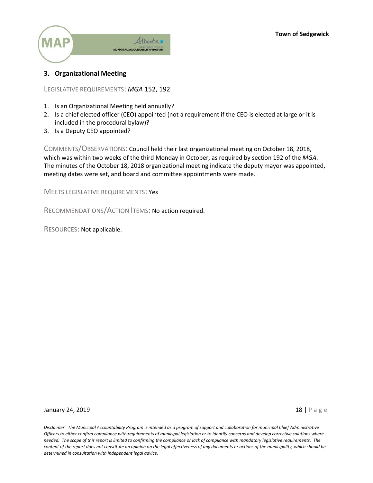

#### <span id="page-17-0"></span>**3. Organizational Meeting**

LEGISLATIVE REQUIREMENTS: *MGA* 152, 192

- 1. Is an Organizational Meeting held annually?
- 2. Is a chief elected officer (CEO) appointed (not a requirement if the CEO is elected at large or it is included in the procedural bylaw)?
- 3. Is a Deputy CEO appointed?

COMMENTS/OBSERVATIONS: Council held their last organizational meeting on October 18, 2018, which was within two weeks of the third Monday in October, as required by section 192 of the *MGA*. The minutes of the October 18, 2018 organizational meeting indicate the deputy mayor was appointed, meeting dates were set, and board and committee appointments were made.

MEETS LEGISLATIVE REQUIREMENTS: Yes

RECOMMENDATIONS/ACTION ITEMS: No action required.

RESOURCES: Not applicable.

January 24, 2019 **18 | Page 18 | Page 18 | Page 18 | Page 18 | Page 18 | Page 18 | Page 18 | Page 18 | Page 18 | Page 18 | Page 18 | Page 18 | Page 18 | Page 18 | Page 18 | Page 18 | Page 18 | Page 18 | Page 18 | Page 18**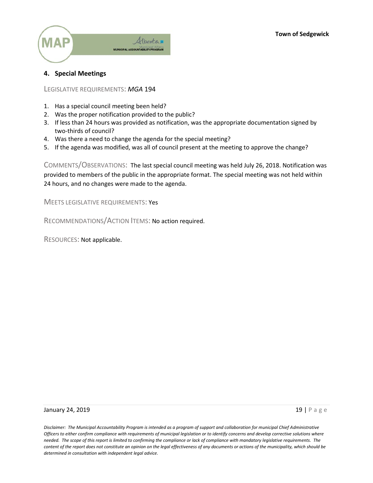

#### <span id="page-18-0"></span>**4. Special Meetings**

LEGISLATIVE REQUIREMENTS: *MGA* 194

- 1. Has a special council meeting been held?
- 2. Was the proper notification provided to the public?
- 3. If less than 24 hours was provided as notification, was the appropriate documentation signed by two-thirds of council?
- 4. Was there a need to change the agenda for the special meeting?
- 5. If the agenda was modified, was all of council present at the meeting to approve the change?

COMMENTS/OBSERVATIONS: The last special council meeting was held July 26, 2018. Notification was provided to members of the public in the appropriate format. The special meeting was not held within 24 hours, and no changes were made to the agenda.

MEETS LEGISLATIVE REQUIREMENTS: Yes

RECOMMENDATIONS/ACTION ITEMS: No action required.

RESOURCES: Not applicable.

January 24, 2019 **19 | Page 19 | Page 19 | Page 19 | Page 19 | Page 19 | Page 19 | Page 19 | Page 19 | Page 19 | Page 19 | Page 19 | Page 19 | Page 19 | Page 19 | Page 19 | Page 19 | Page 19 | Page 19 | Page 19 | Page 19**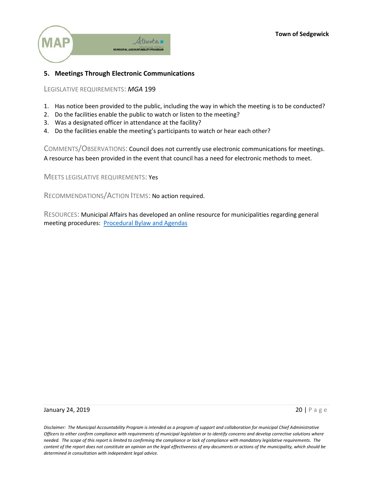

#### <span id="page-19-0"></span>**5. Meetings Through Electronic Communications**

LEGISLATIVE REQUIREMENTS: *MGA* 199

- 1. Has notice been provided to the public, including the way in which the meeting is to be conducted?
- 2. Do the facilities enable the public to watch or listen to the meeting?
- 3. Was a designated officer in attendance at the facility?
- 4. Do the facilities enable the meeting's participants to watch or hear each other?

COMMENTS/OBSERVATIONS: Council does not currently use electronic communications for meetings. A resource has been provided in the event that council has a need for electronic methods to meet.

MEETS LEGISLATIVE REQUIREMENTS: Yes

RECOMMENDATIONS/ACTION ITEMS: No action required.

RESOURCES: Municipal Affairs has developed an online resource for municipalities regarding general meeting procedures: [Procedural Bylaw and Agendas](http://www.municipalaffairs.alberta.ca/documents/Procedure%20Bylaw%20and%20the%20Agenda.pdf)

January 24, 2019 20 | Page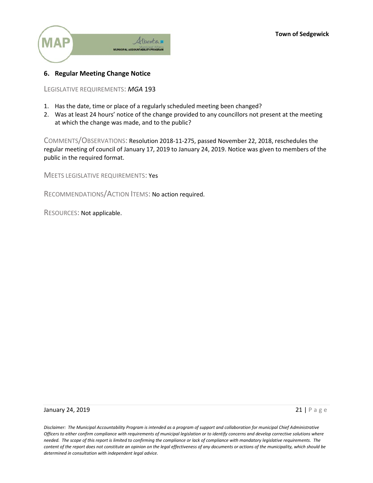

#### <span id="page-20-0"></span>**6. Regular Meeting Change Notice**

LEGISLATIVE REQUIREMENTS: *MGA* 193

- 1. Has the date, time or place of a regularly scheduled meeting been changed?
- 2. Was at least 24 hours' notice of the change provided to any councillors not present at the meeting at which the change was made, and to the public?

COMMENTS/OBSERVATIONS: Resolution 2018-11-275, passed November 22, 2018, reschedules the regular meeting of council of January 17, 2019 to January 24, 2019. Notice was given to members of the public in the required format.

MEETS LEGISLATIVE REQUIREMENTS: Yes

RECOMMENDATIONS/ACTION ITEMS: No action required.

RESOURCES: Not applicable.

January 24, 2019 21 | Page 2010 21 | Page 21 | Page 21 | Page 21 | Page 21 | Page 2010 21 | Page 21 | Page 21 | Page 21 | Page 21 | Page 2010 22 | Page 2010 21 | Page 2010 22 | Page 2010 21 | Page 2010 22 | Page 2010 22 |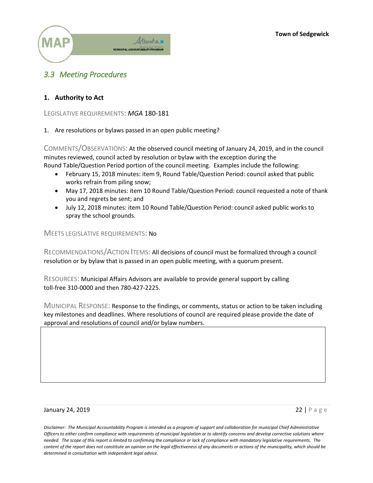

## <span id="page-21-0"></span>*3.3 Meeting Procedures*

#### <span id="page-21-1"></span>**1. Authority to Act**

LEGISLATIVE REQUIREMENTS: *MGA* 180-181

#### 1. Are resolutions or bylaws passed in an open public meeting?

COMMENTS/OBSERVATIONS: At the observed council meeting of January 24, 2019, and in the council minutes reviewed, council acted by resolution or bylaw with the exception during the Round Table/Question Period portion of the council meeting. Examples include the following:

- February 15, 2018 minutes: item 9, Round Table/Question Period: council asked that public works refrain from piling snow;
- May 17, 2018 minutes: item 10 Round Table/Question Period: council requested a note of thank you and regrets be sent; and
- July 12, 2018 minutes: item 10 Round Table/Question Period: council asked public works to spray the school grounds.

#### MEETS LEGISLATIVE REQUIREMENTS: No

RECOMMENDATIONS/ACTION ITEMS: All decisions of council must be formalized through a council resolution or by bylaw that is passed in an open public meeting, with a quorum present.

RESOURCES: Municipal Affairs Advisors are available to provide general support by calling toll-free 310-0000 and then 780-427-2225.

MUNICIPAL RESPONSE: Response to the findings, or comments, status or action to be taken including key milestones and deadlines. Where resolutions of council are required please provide the date of approval and resolutions of council and/or bylaw numbers.

#### January 24, 2019 22 | Page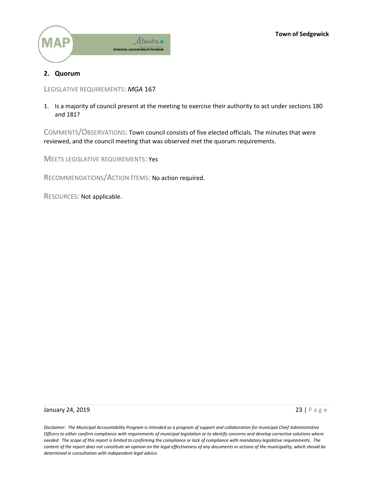

#### <span id="page-22-0"></span>**2. Quorum**

LEGISLATIVE REQUIREMENTS: *MGA* 167

1. Is a majority of council present at the meeting to exercise their authority to act under sections 180 and 181?

COMMENTS/OBSERVATIONS: Town council consists of five elected officials. The minutes that were reviewed, and the council meeting that was observed met the quorum requirements.

MEETS LEGISLATIVE REQUIREMENTS: Yes

RECOMMENDATIONS/ACTION ITEMS: No action required.

RESOURCES: Not applicable.

January 24, 2019 23 | Page 23 | Page 23 | Page 23 | Page 23 | Page 23 | Page 23 | Page 23 | Page 23 | Page 23 | Page 23 | Page 23 | Page 23 | Page 23 | Page 23 | Page 23 | Page 23 | Page 23 | Page 23 | Page 23 | Page 23 |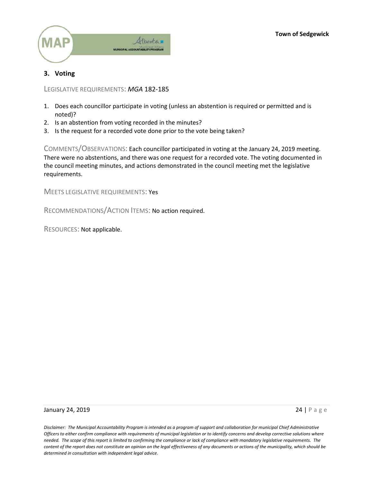

#### <span id="page-23-0"></span>**3. Voting**

LEGISLATIVE REQUIREMENTS: *MGA* 182-185

- 1. Does each councillor participate in voting (unless an abstention is required or permitted and is noted)?
- 2. Is an abstention from voting recorded in the minutes?
- 3. Is the request for a recorded vote done prior to the vote being taken?

COMMENTS/OBSERVATIONS: Each councillor participated in voting at the January 24, 2019 meeting. There were no abstentions, and there was one request for a recorded vote. The voting documented in the council meeting minutes, and actions demonstrated in the council meeting met the legislative requirements.

MEETS LEGISLATIVE REQUIREMENTS: Yes

RECOMMENDATIONS/ACTION ITEMS: No action required.

RESOURCES: Not applicable.

**January 24, 2019** 24 | Page 24 | Page 24 | Page 24 | Page 24 | Page 24 | Page 24 | Page 24 | Page 24 | Page 24 | Page 24 | Page 24 | Page 24 | Page 24 | Page 24 | Page 25 | Page 26 | Page 26 | Page 26 | Page 26 | Page 26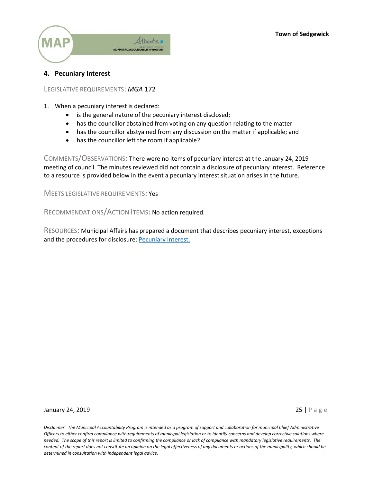

#### <span id="page-24-0"></span>**4. Pecuniary Interest**

#### LEGISLATIVE REQUIREMENTS: *MGA* 172

- 1. When a pecuniary interest is declared:
	- is the general nature of the pecuniary interest disclosed;
	- has the councillor abstained from voting on any question relating to the matter
	- has the councillor abstyained from any discussion on the matter if applicable; and
	- has the councillor left the room if applicable?

COMMENTS/OBSERVATIONS: There were no items of pecuniary interest at the January 24, 2019 meeting of council. The minutes reviewed did not contain a disclosure of pecuniary interest. Reference to a resource is provided below in the event a pecuniary interest situation arises in the future.

#### MEETS LEGISLATIVE REQUIREMENTS: Yes

RECOMMENDATIONS/ACTION ITEMS: No action required.

RESOURCES: Municipal Affairs has prepared a document that describes pecuniary interest, exceptions and the procedures for disclosure: [Pecuniary Interest.](http://www.municipalaffairs.alberta.ca/documents/Pecuniary_interest_%202017.pdf)

#### **January 24, 2019** 25 | Page 25 | Page 25 | Page 25 | Page 25 | Page 25 | Page 25 | Page 25 | Page 25 | Page 25 | Page 25 | Page 25 | Page 25 | Page 25 | Page 25 | Page 25 | Page 25 | Page 25 | Page 25 | Page 26 | Page 26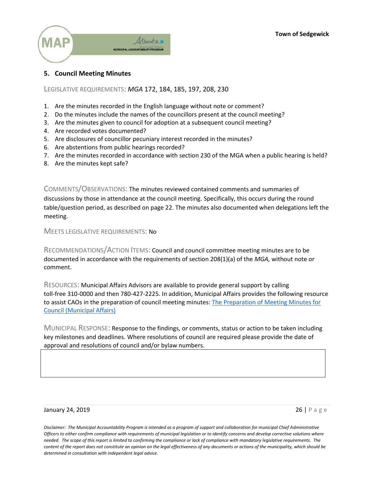

#### <span id="page-25-0"></span>**5. Council Meeting Minutes**

LEGISLATIVE REQUIREMENTS: *MGA* 172, 184, 185, 197, 208, 230

- 1. Are the minutes recorded in the English language without note or comment?
- 2. Do the minutes include the names of the councillors present at the council meeting?
- 3. Are the minutes given to council for adoption at a subsequent council meeting?
- 4. Are recorded votes documented?
- 5. Are disclosures of councillor pecuniary interest recorded in the minutes?
- 6. Are abstentions from public hearings recorded?
- 7. Are the minutes recorded in accordance with section 230 of the MGA when a public hearing is held?
- 8. Are the minutes kept safe?

COMMENTS/OBSERVATIONS: The minutes reviewed contained comments and summaries of discussions by those in attendance at the council meeting. Specifically, this occurs during the round table/question period, as described on page 22. The minutes also documented when delegations left the meeting.

#### MEETS LEGISLATIVE REQUIREMENTS: No

RECOMMENDATIONS/ACTION ITEMS: Council and council committee meeting minutes are to be documented in accordance with the requirements of section 208(1)(a) of the *MGA,* without note or comment.

RESOURCES: Municipal Affairs Advisors are available to provide general support by calling toll-free 310-0000 and then 780-427-2225. In addition, Municipal Affairs provides the following resource to assist CAOs in the preparation of council meeting minutes: [The Preparation of Meeting Minutes for](http://www.municipalaffairs.alberta.ca/documents/The%20Preparation%20of%20Meeting%20Minutes%20for%20Council.pdf)  [Council \(Municipal Affairs\)](http://www.municipalaffairs.alberta.ca/documents/The%20Preparation%20of%20Meeting%20Minutes%20for%20Council.pdf)

MUNICIPAL RESPONSE: Response to the findings, or comments, status or action to be taken including key milestones and deadlines. Where resolutions of council are required please provide the date of approval and resolutions of council and/or bylaw numbers.

#### January 24, 2019 26 | Page 26 | Page 26 | Page 26 | Page 26 | Page 26 | Page 26 | Page 26 | Page 26 | Page 26 | Page 26 | Page 26 | Page 26 | Page 26 | Page 26 | Page 26 | Page 26 | Page 26 | Page 26 | Page 26 | Page 26 |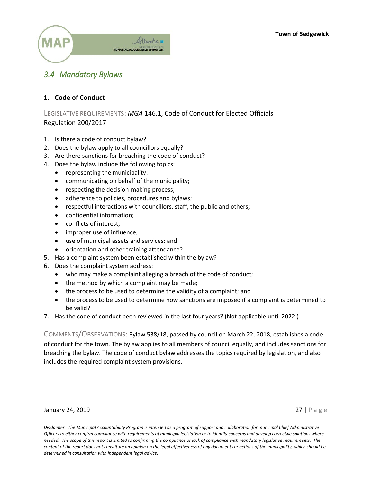

## <span id="page-26-0"></span>*3.4 Mandatory Bylaws*

#### <span id="page-26-1"></span>**1. Code of Conduct**

LEGISLATIVE REQUIREMENTS: *MGA* 146.1, Code of Conduct for Elected Officials Regulation 200/2017

- 1. Is there a code of conduct bylaw?
- 2. Does the bylaw apply to all councillors equally?
- 3. Are there sanctions for breaching the code of conduct?
- 4. Does the bylaw include the following topics:
	- representing the municipality;
	- communicating on behalf of the municipality;
	- respecting the decision-making process;
	- adherence to policies, procedures and bylaws;
	- respectful interactions with councillors, staff, the public and others;
	- confidential information;
	- conflicts of interest;
	- improper use of influence;
	- use of municipal assets and services; and
	- orientation and other training attendance?
- 5. Has a complaint system been established within the bylaw?
- 6. Does the complaint system address:
	- who may make a complaint alleging a breach of the code of conduct;
	- $\bullet$  the method by which a complaint may be made;
	- the process to be used to determine the validity of a complaint; and
	- the process to be used to determine how sanctions are imposed if a complaint is determined to be valid?
- 7. Has the code of conduct been reviewed in the last four years? (Not applicable until 2022.)

COMMENTS/OBSERVATIONS: Bylaw 538/18, passed by council on March 22, 2018, establishes a code of conduct for the town. The bylaw applies to all members of council equally, and includes sanctions for breaching the bylaw. The code of conduct bylaw addresses the topics required by legislation, and also includes the required complaint system provisions.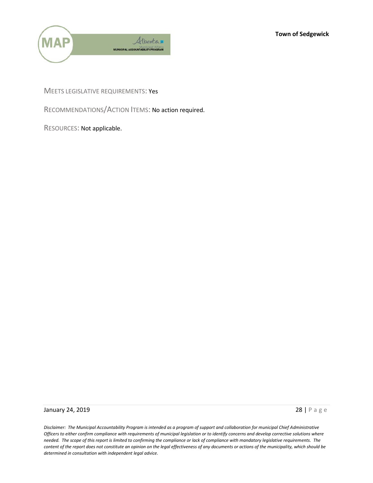**Town of Sedgewick**



#### MEETS LEGISLATIVE REQUIREMENTS: Yes

RECOMMENDATIONS/ACTION ITEMS: No action required.

RESOURCES: Not applicable.

January 24, 2019 28 | Page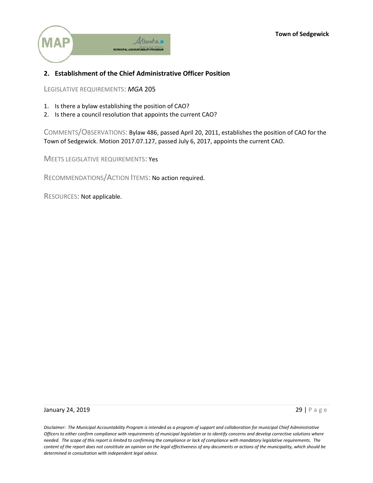

#### <span id="page-28-0"></span>**2. Establishment of the Chief Administrative Officer Position**

LEGISLATIVE REQUIREMENTS: *MGA* 205

- 1. Is there a bylaw establishing the position of CAO?
- 2. Is there a council resolution that appoints the current CAO?

COMMENTS/OBSERVATIONS: Bylaw 486, passed April 20, 2011, establishes the position of CAO for the Town of Sedgewick. Motion 2017.07.127, passed July 6, 2017, appoints the current CAO.

MEETS LEGISLATIVE REQUIREMENTS: Yes

RECOMMENDATIONS/ACTION ITEMS: No action required.

RESOURCES: Not applicable.

January 24, 2019 2018 2019 2012 2013 2014 2014 2014 2014 2015 2016 2017 2018 2019 2012 2014 2016 2017 2018 201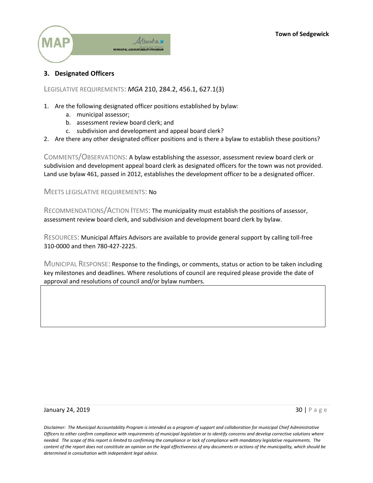

### <span id="page-29-0"></span>**3. Designated Officers**

#### LEGISLATIVE REQUIREMENTS: *MGA* 210, 284.2, 456.1, 627.1(3)

- 1. Are the following designated officer positions established by bylaw:
	- a. municipal assessor;
	- b. assessment review board clerk; and
	- c. subdivision and development and appeal board clerk?
- 2. Are there any other designated officer positions and is there a bylaw to establish these positions?

COMMENTS/OBSERVATIONS: A bylaw establishing the assessor, assessment review board clerk or subdivision and development appeal board clerk as designated officers for the town was not provided. Land use bylaw 461, passed in 2012, establishes the development officer to be a designated officer.

#### MEETS LEGISLATIVE REQUIREMENTS: No

RECOMMENDATIONS/ACTION ITEMS: The municipality must establish the positions of assessor, assessment review board clerk, and subdivision and development board clerk by bylaw.

RESOURCES: Municipal Affairs Advisors are available to provide general support by calling toll-free 310-0000 and then 780-427-2225.

MUNICIPAL RESPONSE: Response to the findings, or comments, status or action to be taken including key milestones and deadlines. Where resolutions of council are required please provide the date of approval and resolutions of council and/or bylaw numbers.

#### January 24, 2019  $\blacksquare$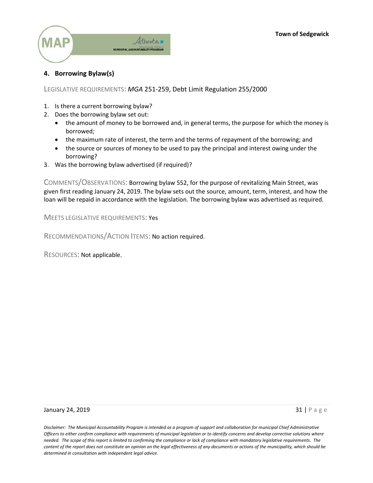

### <span id="page-30-0"></span>**4. Borrowing Bylaw(s)**

#### LEGISLATIVE REQUIREMENTS: *MGA* 251-259, Debt Limit Regulation 255/2000

- 1. Is there a current borrowing bylaw?
- 2. Does the borrowing bylaw set out:
	- the amount of money to be borrowed and, in general terms, the purpose for which the money is borrowed;
	- the maximum rate of interest, the term and the terms of repayment of the borrowing; and
	- the source or sources of money to be used to pay the principal and interest owing under the borrowing?
- 3. Was the borrowing bylaw advertised (if required)?

COMMENTS/OBSERVATIONS: Borrowing bylaw 552, for the purpose of revitalizing Main Street, was given first reading January 24, 2019. The bylaw sets out the source, amount, term, interest, and how the loan will be repaid in accordance with the legislation. The borrowing bylaw was advertised as required.

MEETS LEGISLATIVE REQUIREMENTS: Yes

RECOMMENDATIONS/ACTION ITEMS: No action required.

RESOURCES: Not applicable.

January 24, 2019  $\overline{31}$  | P a g e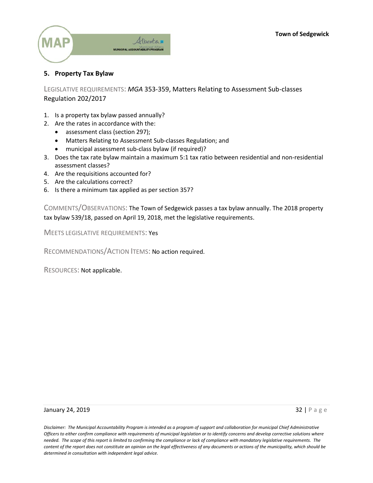

#### <span id="page-31-0"></span>**5. Property Tax Bylaw**

LEGISLATIVE REQUIREMENTS: *MGA* 353-359, Matters Relating to Assessment Sub-classes Regulation 202/2017

- 1. Is a property tax bylaw passed annually?
- 2. Are the rates in accordance with the:
	- assessment class (section 297);
	- Matters Relating to Assessment Sub-classes Regulation; and
	- municipal assessment sub-class bylaw (if required)?
- 3. Does the tax rate bylaw maintain a maximum 5:1 tax ratio between residential and non-residential assessment classes?
- 4. Are the requisitions accounted for?
- 5. Are the calculations correct?
- 6. Is there a minimum tax applied as per section 357?

COMMENTS/OBSERVATIONS: The Town of Sedgewick passes a tax bylaw annually. The 2018 property tax bylaw 539/18, passed on April 19, 2018, met the legislative requirements.

MEETS LEGISLATIVE REQUIREMENTS: Yes

RECOMMENDATIONS/ACTION ITEMS: No action required.

RESOURCES: Not applicable.

#### January 24, 2019  $\overline{32}$  | Page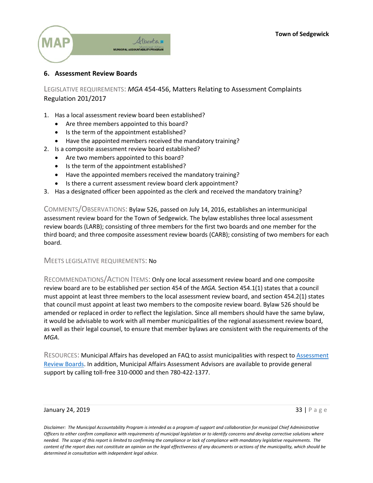

#### <span id="page-32-0"></span>**6. Assessment Review Boards**

LEGISLATIVE REQUIREMENTS: *MGA* 454-456, Matters Relating to Assessment Complaints Regulation 201/2017

- 1. Has a local assessment review board been established?
	- Are three members appointed to this board?
	- Is the term of the appointment established?
	- Have the appointed members received the mandatory training?
- 2. Is a composite assessment review board established?
	- Are two members appointed to this board?
	- Is the term of the appointment established?
	- Have the appointed members received the mandatory training?
	- Is there a current assessment review board clerk appointment?
- 3. Has a designated officer been appointed as the clerk and received the mandatory training?

COMMENTS/OBSERVATIONS: Bylaw 526, passed on July 14, 2016, establishes an intermunicipal assessment review board for the Town of Sedgewick. The bylaw establishes three local assessment review boards (LARB); consisting of three members for the first two boards and one member for the third board; and three composite assessment review boards (CARB); consisting of two members for each board.

#### MEETS LEGISLATIVE REQUIREMENTS: No

RECOMMENDATIONS/ACTION ITEMS: Only one local assessment review board and one composite review board are to be established per section 454 of the *MGA.* Section 454.1(1) states that a council must appoint at least three members to the local assessment review board, and section 454.2(1) states that council must appoint at least two members to the composite review board. Bylaw 526 should be amended or replaced in order to reflect the legislation. Since all members should have the same bylaw, it would be advisable to work with all member municipalities of the regional assessment review board, as well as their legal counsel, to ensure that member bylaws are consistent with the requirements of the *MGA*.

RESOURCES: Municipal Affairs has developed an FAQ to assist municipalities with respect to Assessment [Review Boards.](http://www.municipalaffairs.alberta.ca/1532#Establishing_Assessment_Review_Boards) In addition, Municipal Affairs Assessment Advisors are available to provide general support by calling toll-free 310-0000 and then 780-422-1377.

#### January 24, 2019  $\overline{33}$  | Page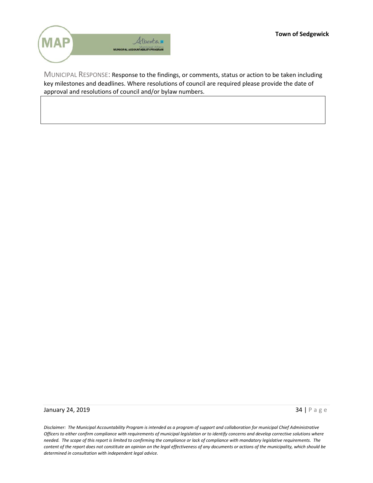

MUNICIPAL RESPONSE: Response to the findings, or comments, status or action to be taken including key milestones and deadlines. Where resolutions of council are required please provide the date of approval and resolutions of council and/or bylaw numbers.

January 24, 2019  $\overline{34}$  | Page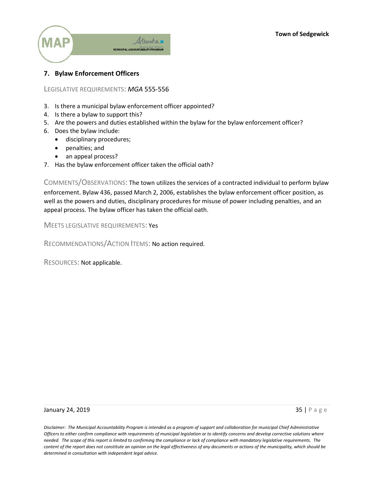

#### <span id="page-34-0"></span>**7. Bylaw Enforcement Officers**

LEGISLATIVE REQUIREMENTS: *MGA* 555-556

- 3. Is there a municipal bylaw enforcement officer appointed?
- 4. Is there a bylaw to support this?
- 5. Are the powers and duties established within the bylaw for the bylaw enforcement officer?
- 6. Does the bylaw include:
	- disciplinary procedures;
	- penalties; and
	- an appeal process?
- 7. Has the bylaw enforcement officer taken the official oath?

COMMENTS/OBSERVATIONS: The town utilizes the services of a contracted individual to perform bylaw enforcement. Bylaw 436, passed March 2, 2006, establishes the bylaw enforcement officer position, as well as the powers and duties, disciplinary procedures for misuse of power including penalties, and an appeal process. The bylaw officer has taken the official oath.

MEETS LEGISLATIVE REQUIREMENTS: Yes

RECOMMENDATIONS/ACTION ITEMS: No action required.

RESOURCES: Not applicable.

January 24, 2019  $\overline{35}$  | Page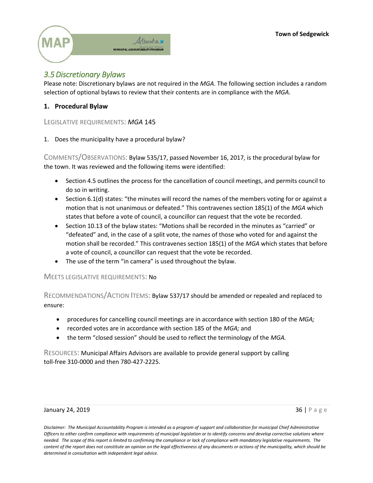**Town of Sedgewick**



## <span id="page-35-0"></span>*3.5Discretionary Bylaws*

Please note: Discretionary bylaws are not required in the *MGA*. The following section includes a random selection of optional bylaws to review that their contents are in compliance with the *MGA*.

#### <span id="page-35-1"></span>**1. Procedural Bylaw**

LEGISLATIVE REQUIREMENTS: *MGA* 145

1. Does the municipality have a procedural bylaw?

COMMENTS/OBSERVATIONS: Bylaw 535/17, passed November 16, 2017, is the procedural bylaw for the town. It was reviewed and the following items were identified:

- Section 4.5 outlines the process for the cancellation of council meetings, and permits council to do so in writing.
- $\bullet$  Section 6.1(d) states: "the minutes will record the names of the members voting for or against a motion that is not unanimous or defeated." This contravenes section 185(1) of the *MGA* which states that before a vote of council, a councillor can request that the vote be recorded.
- Section 10.13 of the bylaw states: "Motions shall be recorded in the minutes as "carried" or "defeated" and, in the case of a split vote, the names of those who voted for and against the motion shall be recorded." This contravenes section 185(1) of the *MGA* which states that before a vote of council, a councillor can request that the vote be recorded.
- The use of the term "in camera" is used throughout the bylaw.

#### MEETS LEGISLATIVE REQUIREMENTS: No

RECOMMENDATIONS/ACTION ITEMS: Bylaw 537/17 should be amended or repealed and replaced to ensure:

- **•** procedures for cancelling council meetings are in accordance with section 180 of the *MGA*;
- **•** recorded votes are in accordance with section 185 of the *MGA;* and
- the term "closed session" should be used to reflect the terminology of the *MGA*.

RESOURCES: Municipal Affairs Advisors are available to provide general support by calling toll-free 310-0000 and then 780-427-2225.

January 24, 2019  $\overline{36}$  | Page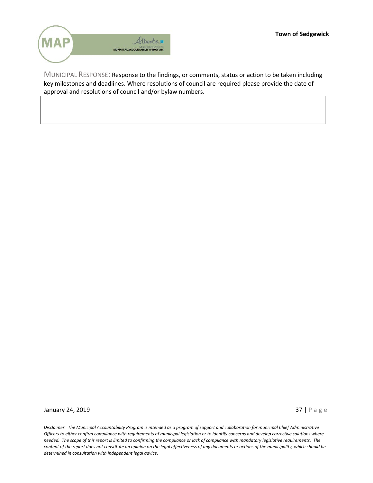

MUNICIPAL RESPONSE: Response to the findings, or comments, status or action to be taken including key milestones and deadlines. Where resolutions of council are required please provide the date of approval and resolutions of council and/or bylaw numbers.

January 24, 2019 37 | Page 32 | Page 32 | Page 32 | Page 32 | Page 32 | Page 32 | Page 32 | Page 32 | Page 32 | Page 32 | Page 32 | Page 32 | Page 32 | Page 32 | Page 32 | Page 32 | Page 32 | Page 32 | Page 32 | Page 32 |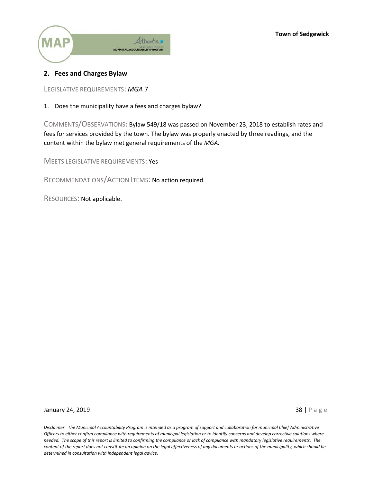

### **2. Fees and Charges Bylaw**

LEGISLATIVE REQUIREMENTS: *MGA* 7

1. Does the municipality have a fees and charges bylaw?

COMMENTS/OBSERVATIONS: Bylaw 549/18 was passed on November 23, 2018 to establish rates and fees for services provided by the town. The bylaw was properly enacted by three readings, and the content within the bylaw met general requirements of the *MGA.*

MEETS LEGISLATIVE REQUIREMENTS: Yes

RECOMMENDATIONS/ACTION ITEMS: No action required.

RESOURCES: Not applicable.

January 24, 2019  $\overline{38}$  | Page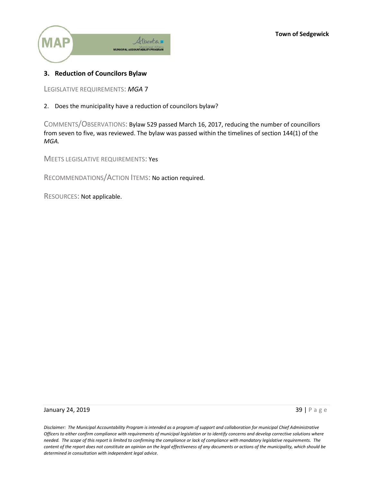

### **3. Reduction of Councilors Bylaw**

LEGISLATIVE REQUIREMENTS: *MGA* 7

2. Does the municipality have a reduction of councilors bylaw?

COMMENTS/OBSERVATIONS: Bylaw 529 passed March 16, 2017, reducing the number of councillors from seven to five, was reviewed. The bylaw was passed within the timelines of section 144(1) of the *MGA.*

MEETS LEGISLATIVE REQUIREMENTS: Yes

RECOMMENDATIONS/ACTION ITEMS: No action required.

RESOURCES: Not applicable.

January 24, 2019  $\Box$  and  $\Box$  and  $\Box$  and  $\Box$  and  $\Box$  39 | Page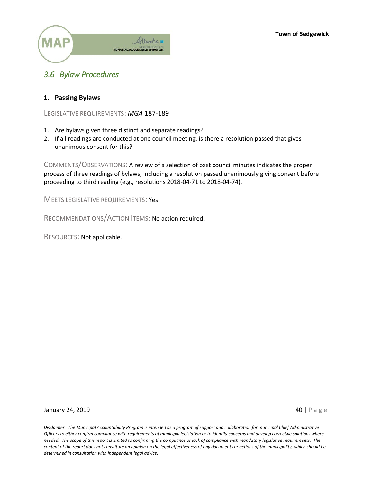

# *3.6 Bylaw Procedures*

### **1. Passing Bylaws**

LEGISLATIVE REQUIREMENTS: *MGA* 187-189

- 1. Are bylaws given three distinct and separate readings?
- 2. If all readings are conducted at one council meeting, is there a resolution passed that gives unanimous consent for this?

COMMENTS/OBSERVATIONS: A review of a selection of past council minutes indicates the proper process of three readings of bylaws, including a resolution passed unanimously giving consent before proceeding to third reading (e.g., resolutions 2018-04-71 to 2018-04-74).

MEETS LEGISLATIVE REQUIREMENTS: Yes

RECOMMENDATIONS/ACTION ITEMS: No action required.

RESOURCES: Not applicable.

January 24, 2019  $\blacksquare$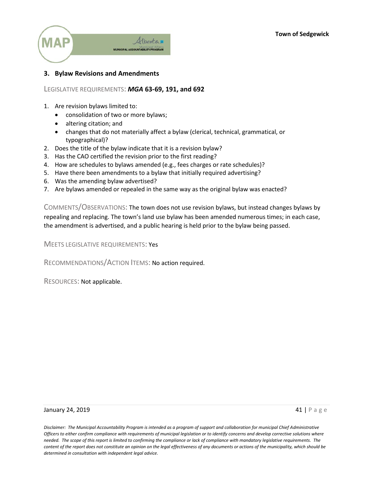

## **3. Bylaw Revisions and Amendments**

### LEGISLATIVE REQUIREMENTS: *MGA* **63-69, 191, and 692**

- 1. Are revision bylaws limited to:
	- consolidation of two or more bylaws;
	- altering citation; and
	- changes that do not materially affect a bylaw (clerical, technical, grammatical, or typographical)?
- 2. Does the title of the bylaw indicate that it is a revision bylaw?
- 3. Has the CAO certified the revision prior to the first reading?
- 4. How are schedules to bylaws amended (e.g., fees charges or rate schedules)?
- 5. Have there been amendments to a bylaw that initially required advertising?
- 6. Was the amending bylaw advertised?
- 7. Are bylaws amended or repealed in the same way as the original bylaw was enacted?

COMMENTS/OBSERVATIONS: The town does not use revision bylaws, but instead changes bylaws by repealing and replacing. The town's land use bylaw has been amended numerous times; in each case, the amendment is advertised, and a public hearing is held prior to the bylaw being passed.

MEETS LEGISLATIVE REQUIREMENTS: Yes

RECOMMENDATIONS/ACTION ITEMS: No action required.

RESOURCES: Not applicable.

#### January 24, 2019  $\overline{a}$  and  $\overline{a}$  and  $\overline{a}$  and  $\overline{a}$  and  $\overline{a}$  and  $\overline{a}$  and  $\overline{a}$  and  $\overline{a}$  and  $\overline{a}$  and  $\overline{a}$  and  $\overline{a}$  and  $\overline{a}$  and  $\overline{a}$  and  $\overline{a}$  and  $\overline{a}$  and  $\overline{a}$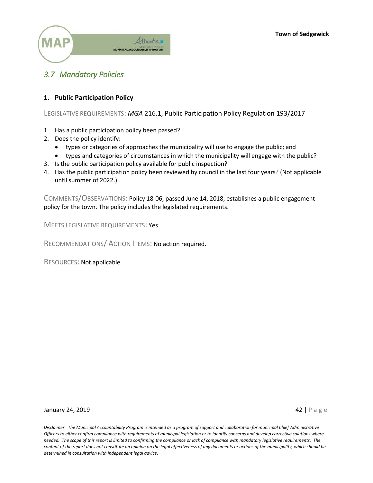

# *3.7 Mandatory Policies*

# **1. Public Participation Policy**

LEGISLATIVE REQUIREMENTS: *MGA* 216.1, Public Participation Policy Regulation 193/2017

- 1. Has a public participation policy been passed?
- 2. Does the policy identify:
	- types or categories of approaches the municipality will use to engage the public; and
	- types and categories of circumstances in which the municipality will engage with the public?
- 3. Is the public participation policy available for public inspection?
- 4. Has the public participation policy been reviewed by council in the last four years? (Not applicable until summer of 2022.)

COMMENTS/OBSERVATIONS: Policy 18-06, passed June 14, 2018, establishes a public engagement policy for the town. The policy includes the legislated requirements.

MEETS LEGISLATIVE REQUIREMENTS: Yes

RECOMMENDATIONS/ ACTION ITEMS: No action required.

RESOURCES: Not applicable.

January 24, 2019 **42 | Page 19 | Page 19 | Page 19 | Page 19 | Page 19 | Page 19 | Page 19 | Page 19 | Page 19 | Page 19 | Page 19 | Page 19 | Page 19 | Page 19 | Page 19 | Page 19 | Page 19 | Page 19 | Page 19 | Page 19 |**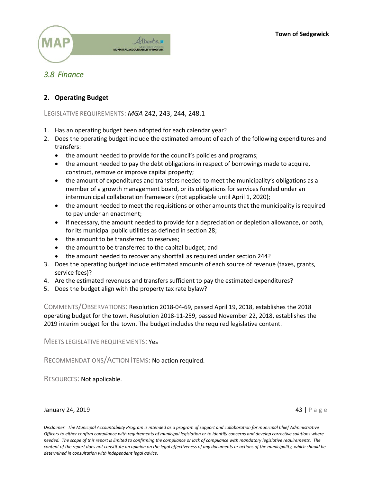

# *3.8 Finance*

# **2. Operating Budget**

LEGISLATIVE REQUIREMENTS: *MGA* 242, 243, 244, 248.1

- 1. Has an operating budget been adopted for each calendar year?
- 2. Does the operating budget include the estimated amount of each of the following expenditures and transfers:
	- the amount needed to provide for the council's policies and programs;
	- the amount needed to pay the debt obligations in respect of borrowings made to acquire, construct, remove or improve capital property;
	- the amount of expenditures and transfers needed to meet the municipality's obligations as a member of a growth management board, or its obligations for services funded under an intermunicipal collaboration framework (not applicable until April 1, 2020);
	- the amount needed to meet the requisitions or other amounts that the municipality is required to pay under an enactment;
	- if necessary, the amount needed to provide for a depreciation or depletion allowance, or both, for its municipal public utilities as defined in section 28;
	- the amount to be transferred to reserves;
	- the amount to be transferred to the capital budget; and
	- the amount needed to recover any shortfall as required under section 244?
- 3. Does the operating budget include estimated amounts of each source of revenue (taxes, grants, service fees)?
- 4. Are the estimated revenues and transfers sufficient to pay the estimated expenditures?
- 5. Does the budget align with the property tax rate bylaw?

COMMENTS/OBSERVATIONS: Resolution 2018-04-69, passed April 19, 2018, establishes the 2018 operating budget for the town. Resolution 2018-11-259, passed November 22, 2018, establishes the 2019 interim budget for the town. The budget includes the required legislative content.

MEETS LEGISLATIVE REQUIREMENTS: Yes

RECOMMENDATIONS/ACTION ITEMS: No action required.

RESOURCES: Not applicable.

#### January 24, 2019  $\overline{a}$  and  $\overline{a}$  and  $\overline{a}$  and  $\overline{a}$  and  $\overline{a}$  and  $\overline{a}$  and  $\overline{a}$  and  $\overline{a}$  and  $\overline{a}$  and  $\overline{a}$  and  $\overline{a}$  and  $\overline{a}$  and  $\overline{a}$  and  $\overline{a}$  and  $\overline{a}$  and  $\overline{a}$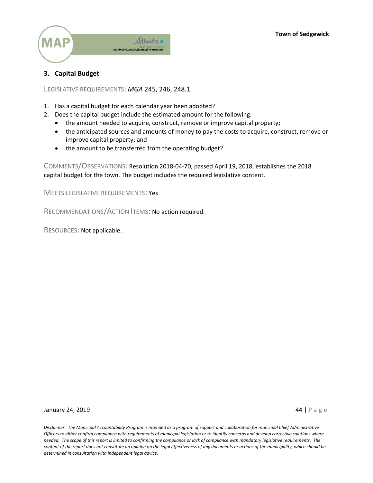

# **3. Capital Budget**

LEGISLATIVE REQUIREMENTS: *MGA* 245, 246, 248.1

- 1. Has a capital budget for each calendar year been adopted?
- 2. Does the capital budget include the estimated amount for the following:
	- the amount needed to acquire, construct, remove or improve capital property;
	- the anticipated sources and amounts of money to pay the costs to acquire, construct, remove or improve capital property; and
	- the amount to be transferred from the operating budget?

COMMENTS/OBSERVATIONS: Resolution 2018-04-70, passed April 19, 2018, establishes the 2018 capital budget for the town. The budget includes the required legislative content.

MEETS LEGISLATIVE REQUIREMENTS: Yes

RECOMMENDATIONS/ACTION ITEMS: No action required.

RESOURCES: Not applicable.

January 24, 2019 **44 | Page 19 | Page 19 | Page 19 | Page 19 | Page 19 | Page 19 | Page 19 | Page 19 | Page 19 |**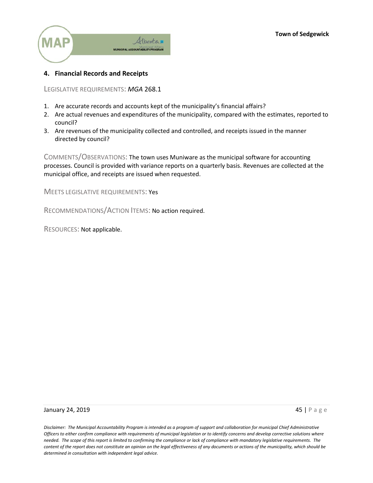

# **4. Financial Records and Receipts**

LEGISLATIVE REQUIREMENTS: *MGA* 268.1

- 1. Are accurate records and accounts kept of the municipality's financial affairs?
- 2. Are actual revenues and expenditures of the municipality, compared with the estimates, reported to council?
- 3. Are revenues of the municipality collected and controlled, and receipts issued in the manner directed by council?

COMMENTS/OBSERVATIONS: The town uses Muniware as the municipal software for accounting processes. Council is provided with variance reports on a quarterly basis. Revenues are collected at the municipal office, and receipts are issued when requested.

MEETS LEGISLATIVE REQUIREMENTS: Yes

RECOMMENDATIONS/ACTION ITEMS: No action required.

RESOURCES: Not applicable.

January 24, 2019 **45 | Page 19 | Page 19 | Page 19 | Page 19 | Page 19 | Page 19 | Page 19 | Page 19 | Page 19 | Page 19 | Page 19 | Page 19 | Page 19 | Page 19 | Page 19 | Page 19 | Page 19 | Page 19 | Page 19 | Page 19 |**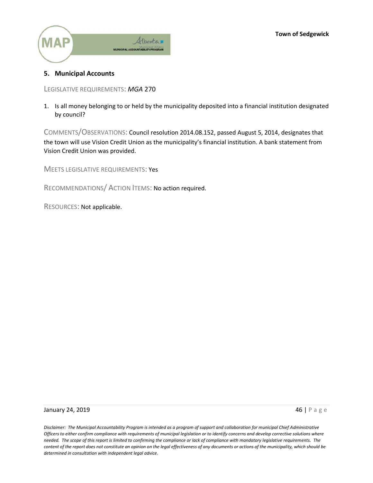

### **5. Municipal Accounts**

LEGISLATIVE REQUIREMENTS: *MGA* 270

1. Is all money belonging to or held by the municipality deposited into a financial institution designated by council?

COMMENTS/OBSERVATIONS: Council resolution 2014.08.152, passed August 5, 2014, designates that the town will use Vision Credit Union as the municipality's financial institution. A bank statement from Vision Credit Union was provided.

MEETS LEGISLATIVE REQUIREMENTS: Yes

RECOMMENDATIONS/ ACTION ITEMS: No action required.

RESOURCES: Not applicable.

**January 24, 2019 46 | Page 12019 46 | Page 12019 12021 12031 12049 12051 12061 12071 12081 12091 12091 12091 12091 12091 12091 12091 12091 12091 12091 12091 12091 12091 12091 12091 12091 12091 12091 12091 12091 12091**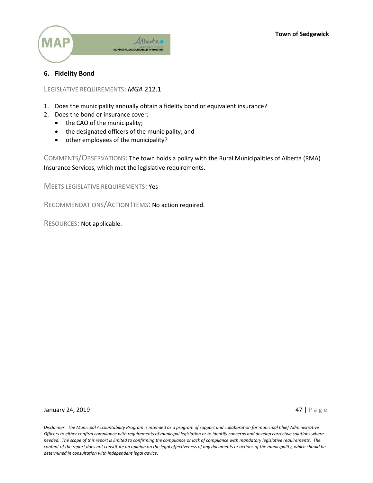

### **6. Fidelity Bond**

LEGISLATIVE REQUIREMENTS: *MGA* 212.1

- 1. Does the municipality annually obtain a fidelity bond or equivalent insurance?
- 2. Does the bond or insurance cover:
	- $\bullet$  the CAO of the municipality;
	- the designated officers of the municipality; and
	- other employees of the municipality?

COMMENTS/OBSERVATIONS: The town holds a policy with the Rural Municipalities of Alberta (RMA) Insurance Services, which met the legislative requirements.

MEETS LEGISLATIVE REQUIREMENTS: Yes

RECOMMENDATIONS/ACTION ITEMS: No action required.

RESOURCES: Not applicable.

January 24, 2019 47 | Page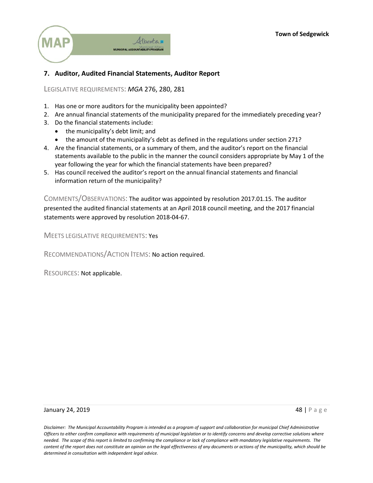

# **7. Auditor, Audited Financial Statements, Auditor Report**

LEGISLATIVE REQUIREMENTS: *MGA* 276, 280, 281

- 1. Has one or more auditors for the municipality been appointed?
- 2. Are annual financial statements of the municipality prepared for the immediately preceding year?
- 3. Do the financial statements include:
	- the municipality's debt limit; and
	- the amount of the municipality's debt as defined in the regulations under section 271?
- 4. Are the financial statements, or a summary of them, and the auditor's report on the financial statements available to the public in the manner the council considers appropriate by May 1 of the year following the year for which the financial statements have been prepared?
- 5. Has council received the auditor's report on the annual financial statements and financial information return of the municipality?

COMMENTS/OBSERVATIONS: The auditor was appointed by resolution 2017.01.15. The auditor presented the audited financial statements at an April 2018 council meeting, and the 2017 financial statements were approved by resolution 2018-04-67.

MEETS LEGISLATIVE REQUIREMENTS: Yes

RECOMMENDATIONS/ACTION ITEMS: No action required.

RESOURCES: Not applicable.

#### January 24, 2019 **48 | Page 19 and 2018** 12:00 12:00 12:00 12:00 12:00 12:00 12:00 12:00 12:00 12:00 12:00 12:00 1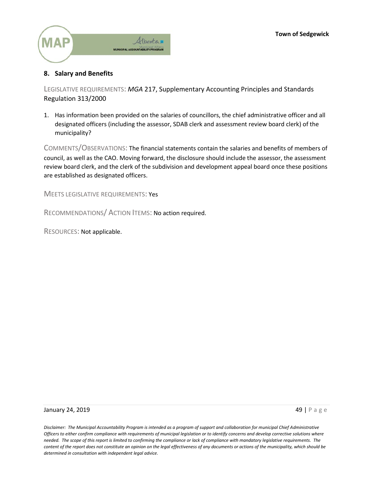

# **8. Salary and Benefits**

LEGISLATIVE REQUIREMENTS: *MGA* 217, Supplementary Accounting Principles and Standards Regulation 313/2000

1. Has information been provided on the salaries of councillors, the chief administrative officer and all designated officers (including the assessor, SDAB clerk and assessment review board clerk) of the municipality?

COMMENTS/OBSERVATIONS: The financial statements contain the salaries and benefits of members of council, as well as the CAO. Moving forward, the disclosure should include the assessor, the assessment review board clerk, and the clerk of the subdivision and development appeal board once these positions are established as designated officers.

MEETS LEGISLATIVE REQUIREMENTS: Yes

RECOMMENDATIONS/ ACTION ITEMS: No action required.

RESOURCES: Not applicable.

January 24, 2019 **49 | Page 19 | Page 19 | Page 19 | Page 19 | Page 19 | Page 19 | Page 19 | Page 19 | Page 19 | Page 19 | Page 19 | Page 19 | Page 19 | Page 19 | Page 19 | Page 19 | Page 19 | Page 19 | Page 19 | Page 19 |**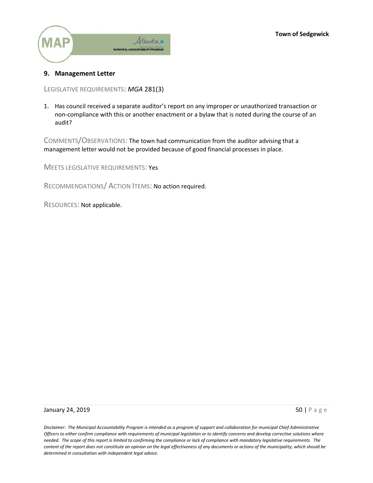

### **9. Management Letter**

LEGISLATIVE REQUIREMENTS: *MGA* 281(3)

1. Has council received a separate auditor's report on any improper or unauthorized transaction or non-compliance with this or another enactment or a bylaw that is noted during the course of an audit?

COMMENTS/OBSERVATIONS: The town had communication from the auditor advising that a management letter would not be provided because of good financial processes in place.

MEETS LEGISLATIVE REQUIREMENTS: Yes

RECOMMENDATIONS/ ACTION ITEMS: No action required.

RESOURCES: Not applicable.

January 24, 2019  $\Box$  Solid Contract to the contract of the contract of the contract of the contract of the contract of the contract of the contract of the contract of the contract of the contract of the contract of the c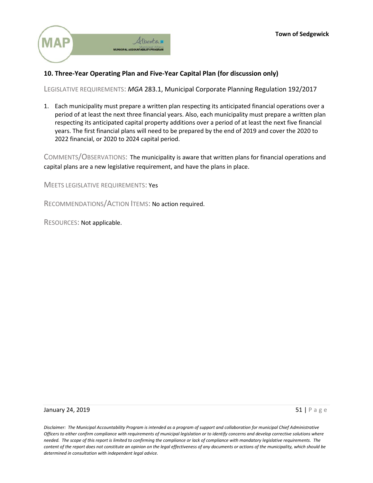

# **10. Three-Year Operating Plan and Five-Year Capital Plan (for discussion only)**

LEGISLATIVE REQUIREMENTS: *MGA* 283.1, Municipal Corporate Planning Regulation 192/2017

1. Each municipality must prepare a written plan respecting its anticipated financial operations over a period of at least the next three financial years. Also, each municipality must prepare a written plan respecting its anticipated capital property additions over a period of at least the next five financial years. The first financial plans will need to be prepared by the end of 2019 and cover the 2020 to 2022 financial, or 2020 to 2024 capital period.

COMMENTS/OBSERVATIONS: The municipality is aware that written plans for financial operations and capital plans are a new legislative requirement, and have the plans in place.

MEETS LEGISLATIVE REQUIREMENTS: Yes

RECOMMENDATIONS/ACTION ITEMS: No action required.

RESOURCES: Not applicable.

January 24, 2019  $\overline{51}$  | P a g e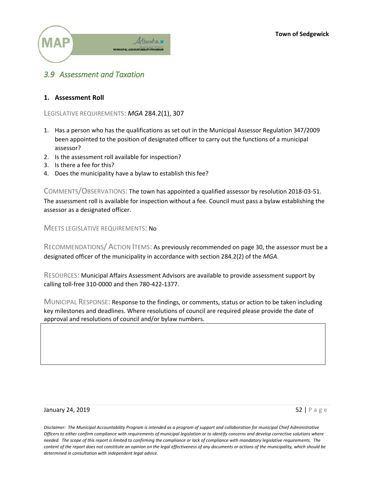

# *3.9 Assessment and Taxation*

### **1. Assessment Roll**

LEGISLATIVE REQUIREMENTS: *MGA* 284.2(1), 307

- 1. Has a person who has the qualifications as set out in the Municipal Assessor Regulation 347/2009 been appointed to the position of designated officer to carry out the functions of a municipal assessor?
- 2. Is the assessment roll available for inspection?
- 3. Is there a fee for this?
- 4. Does the municipality have a bylaw to establish this fee?

COMMENTS/OBSERVATIONS: The town has appointed a qualified assessor by resolution 2018-03-51. The assessment roll is available for inspection without a fee. Council must pass a bylaw establishing the assessor as a designated officer.

MEETS LEGISLATIVE REQUIREMENTS: No

RECOMMENDATIONS/ ACTION ITEMS: As previously recommended on page 30, the assessor must be a designated officer of the municipality in accordance with section 284.2(2) of the *MGA*.

RESOURCES: Municipal Affairs Assessment Advisors are available to provide assessment support by calling toll-free 310-0000 and then 780-422-1377.

MUNICIPAL RESPONSE: Response to the findings, or comments, status or action to be taken including key milestones and deadlines. Where resolutions of council are required please provide the date of approval and resolutions of council and/or bylaw numbers.

#### January 24, 2019  $\overline{52}$  | Page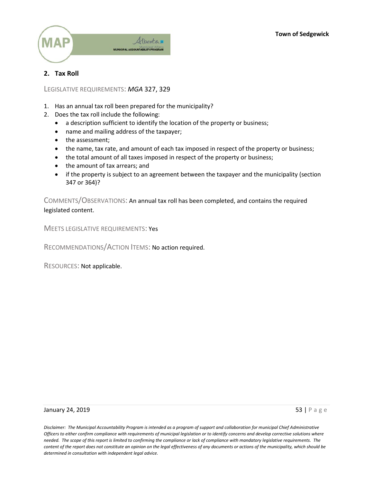

# **2. Tax Roll**

LEGISLATIVE REQUIREMENTS: *MGA* 327, 329

- 1. Has an annual tax roll been prepared for the municipality?
- 2. Does the tax roll include the following:
	- a description sufficient to identify the location of the property or business;
	- name and mailing address of the taxpayer;
	- the assessment;
	- the name, tax rate, and amount of each tax imposed in respect of the property or business;
	- the total amount of all taxes imposed in respect of the property or business;
	- the amount of tax arrears; and
	- if the property is subject to an agreement between the taxpayer and the municipality (section 347 or 364)?

COMMENTS/OBSERVATIONS: An annual tax roll has been completed, and contains the required legislated content.

MEETS LEGISLATIVE REQUIREMENTS: Yes

RECOMMENDATIONS/ACTION ITEMS: No action required.

RESOURCES: Not applicable.

January 24, 2019  $\overline{53}$  | Page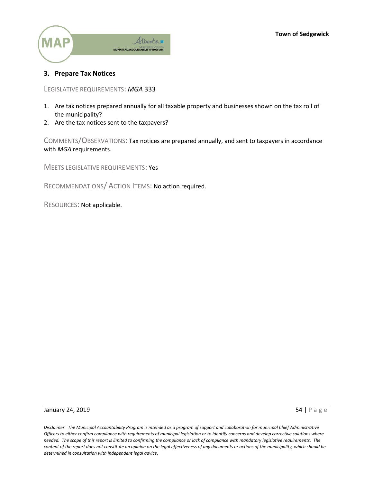

### **3. Prepare Tax Notices**

LEGISLATIVE REQUIREMENTS: *MGA* 333

- 1. Are tax notices prepared annually for all taxable property and businesses shown on the tax roll of the municipality?
- 2. Are the tax notices sent to the taxpayers?

COMMENTS/OBSERVATIONS: Tax notices are prepared annually, and sent to taxpayers in accordance with *MGA* requirements.

MEETS LEGISLATIVE REQUIREMENTS: Yes

RECOMMENDATIONS/ ACTION ITEMS: No action required.

RESOURCES: Not applicable.

January 24, 2019  $\overline{54}$  | Page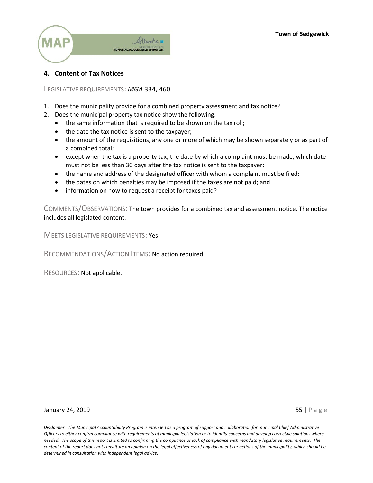

### **4. Content of Tax Notices**

### LEGISLATIVE REQUIREMENTS: *MGA* 334, 460

- 1. Does the municipality provide for a combined property assessment and tax notice?
- 2. Does the municipal property tax notice show the following:
	- the same information that is required to be shown on the tax roll;
	- $\bullet$  the date the tax notice is sent to the taxpayer;
	- the amount of the requisitions, any one or more of which may be shown separately or as part of a combined total;
	- except when the tax is a property tax, the date by which a complaint must be made, which date must not be less than 30 days after the tax notice is sent to the taxpayer;
	- $\bullet$  the name and address of the designated officer with whom a complaint must be filed;
	- the dates on which penalties may be imposed if the taxes are not paid; and
	- information on how to request a receipt for taxes paid?

COMMENTS/OBSERVATIONS: The town provides for a combined tax and assessment notice. The notice includes all legislated content.

MEETS LEGISLATIVE REQUIREMENTS: Yes

RECOMMENDATIONS/ACTION ITEMS: No action required.

RESOURCES: Not applicable.

#### January 24, 2019  $\overline{5}$  | Page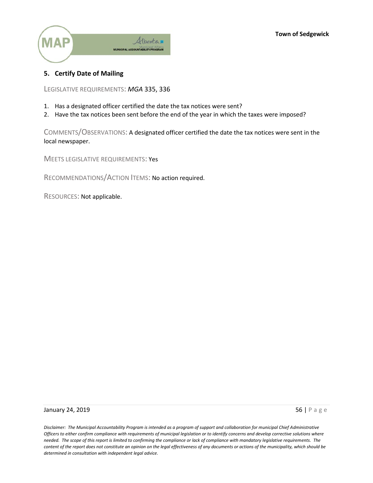

### **5. Certify Date of Mailing**

LEGISLATIVE REQUIREMENTS: *MGA* 335, 336

- 1. Has a designated officer certified the date the tax notices were sent?
- 2. Have the tax notices been sent before the end of the year in which the taxes were imposed?

COMMENTS/OBSERVATIONS: A designated officer certified the date the tax notices were sent in the local newspaper.

MEETS LEGISLATIVE REQUIREMENTS: Yes

RECOMMENDATIONS/ACTION ITEMS: No action required.

RESOURCES: Not applicable.

January 24, 2019  $\overline{56}$  | Page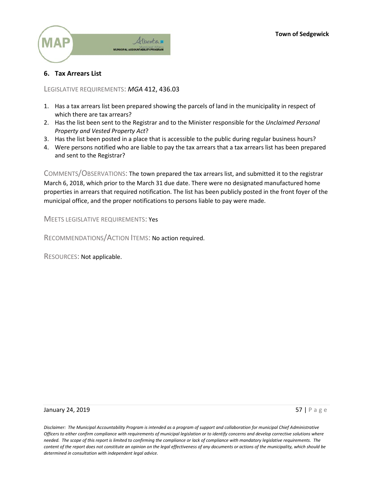

# **6. Tax Arrears List**

LEGISLATIVE REQUIREMENTS: *MGA* 412, 436.03

- 1. Has a tax arrears list been prepared showing the parcels of land in the municipality in respect of which there are tax arrears?
- 2. Has the list been sent to the Registrar and to the Minister responsible for the *Unclaimed Personal Property and Vested Property Act*?
- 3. Has the list been posted in a place that is accessible to the public during regular business hours?
- 4. Were persons notified who are liable to pay the tax arrears that a tax arrears list has been prepared and sent to the Registrar?

COMMENTS/OBSERVATIONS: The town prepared the tax arrears list, and submitted it to the registrar March 6, 2018, which prior to the March 31 due date. There were no designated manufactured home properties in arrears that required notification. The list has been publicly posted in the front foyer of the municipal office, and the proper notifications to persons liable to pay were made.

MEETS LEGISLATIVE REQUIREMENTS: Yes

RECOMMENDATIONS/ACTION ITEMS: No action required.

RESOURCES: Not applicable.

January 24, 2019  $\overline{57}$  | P a g e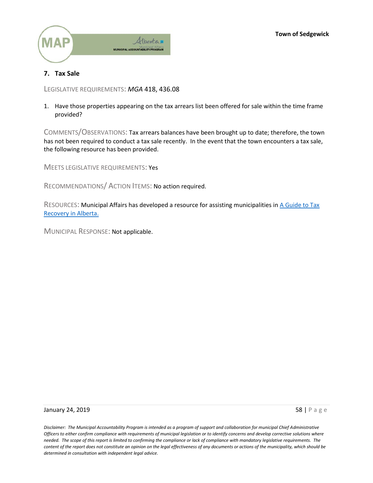

## **7. Tax Sale**

LEGISLATIVE REQUIREMENTS: *MGA* 418, 436.08

1. Have those properties appearing on the tax arrears list been offered for sale within the time frame provided?

COMMENTS/OBSERVATIONS: Tax arrears balances have been brought up to date; therefore, the town has not been required to conduct a tax sale recently. In the event that the town encounters a tax sale, the following resource has been provided.

MEETS LEGISLATIVE REQUIREMENTS: Yes

RECOMMENDATIONS/ ACTION ITEMS: No action required.

RESOURCES: Municipal Affairs has developed a resource for assisting municipalities in A Guide to Tax [Recovery in Alberta.](http://www.municipalaffairs.alberta.ca/documents/A%20Guide%20to%20Tax%20Recovery%20in%20Alberta.pdf) 

MUNICIPAL RESPONSE: Not applicable.

January 24, 2019  $\overline{58}$  | Page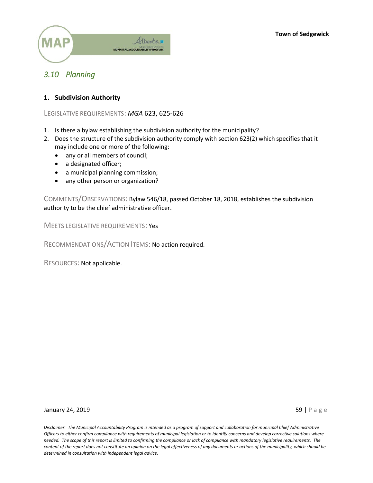

# *3.10 Planning*

### **1. Subdivision Authority**

LEGISLATIVE REQUIREMENTS: *MGA* 623, 625-626

- 1. Is there a bylaw establishing the subdivision authority for the municipality?
- 2. Does the structure of the subdivision authority comply with section 623(2) which specifies that it may include one or more of the following:
	- any or all members of council;
	- a designated officer;
	- a municipal planning commission;
	- any other person or organization?

COMMENTS/OBSERVATIONS: Bylaw 546/18, passed October 18, 2018, establishes the subdivision authority to be the chief administrative officer.

MEETS LEGISLATIVE REQUIREMENTS: Yes

RECOMMENDATIONS/ACTION ITEMS: No action required.

RESOURCES: Not applicable.

January 24, 2019 59 | Page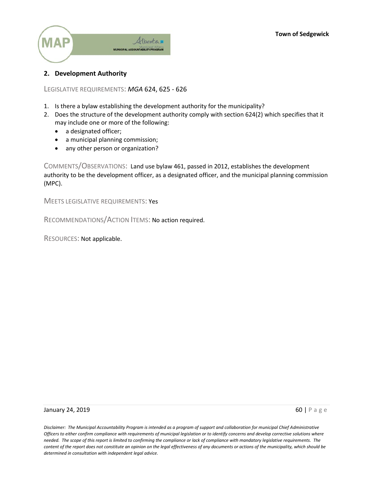

### **2. Development Authority**

LEGISLATIVE REQUIREMENTS: *MGA* 624, 625 - 626

- 1. Is there a bylaw establishing the development authority for the municipality?
- 2. Does the structure of the development authority comply with section 624(2) which specifies that it may include one or more of the following:
	- a designated officer;
	- a municipal planning commission;
	- any other person or organization?

COMMENTS/OBSERVATIONS: Land use bylaw 461, passed in 2012, establishes the development authority to be the development officer, as a designated officer, and the municipal planning commission (MPC).

MEETS LEGISLATIVE REQUIREMENTS: Yes

RECOMMENDATIONS/ACTION ITEMS: No action required.

RESOURCES: Not applicable.

January 24, 2019 **60 | Page 12, 2019 60 | Page 12, 2019 60 | Page 12, 2019 60 | Page 12, 2019 60 | Page 12, 2019 60 | Page 12, 2019 60 | Page 12, 2019 60 | Page 12, 2019 60 | Page 12, 2019 60 | Page 12,**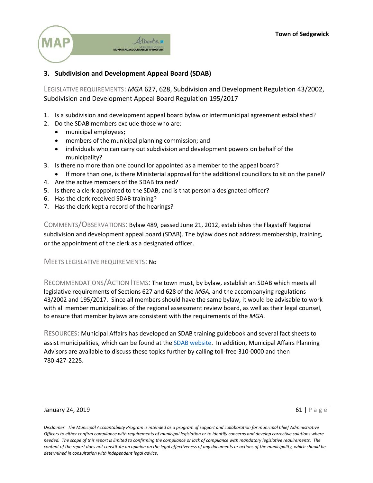

# **3. Subdivision and Development Appeal Board (SDAB)**

LEGISLATIVE REQUIREMENTS: *MGA* 627, 628, Subdivision and Development Regulation 43/2002, Subdivision and Development Appeal Board Regulation 195/2017

- 1. Is a subdivision and development appeal board bylaw or intermunicipal agreement established?
- 2. Do the SDAB members exclude those who are:
	- municipal employees;
	- **•** members of the municipal planning commission; and
	- individuals who can carry out subdivision and development powers on behalf of the municipality?
- 3. Is there no more than one councillor appointed as a member to the appeal board?
	- If more than one, is there Ministerial approval for the additional councillors to sit on the panel?
- 4. Are the active members of the SDAB trained?
- 5. Is there a clerk appointed to the SDAB, and is that person a designated officer?
- 6. Has the clerk received SDAB training?
- 7. Has the clerk kept a record of the hearings?

COMMENTS/OBSERVATIONS: Bylaw 489, passed June 21, 2012, establishes the Flagstaff Regional subdivision and development appeal board (SDAB). The bylaw does not address membership, training, or the appointment of the clerk as a designated officer.

### MEETS LEGISLATIVE REQUIREMENTS: No

RECOMMENDATIONS/ACTION ITEMS: The town must, by bylaw, establish an SDAB which meets all legislative requirements of Sections 627 and 628 of the *MGA,* and the accompanying regulations 43/2002 and 195/2017. Since all members should have the same bylaw, it would be advisable to work with all member municipalities of the regional assessment review board, as well as their legal counsel, to ensure that member bylaws are consistent with the requirements of the *MGA*.

RESOURCES: Municipal Affairs has developed an SDAB training guidebook and several fact sheets to assist municipalities, which can be found at the [SDAB website.](https://open.alberta.ca/publications/9781460140031) In addition, Municipal Affairs Planning Advisors are available to discuss these topics further by calling toll-free 310-0000 and then 780-427-2225.

#### January 24, 2019 **61 | Page 120 | Page 120 | Page 120 | Page 120 | Page 120 | Page 120 | Page 120 | Page 120 | Page 120 | Page 120 | Page 120 | Page 120 | Page 120 | Page 120 | Page 120 | Page 120 | Page 120 | Page 120 |**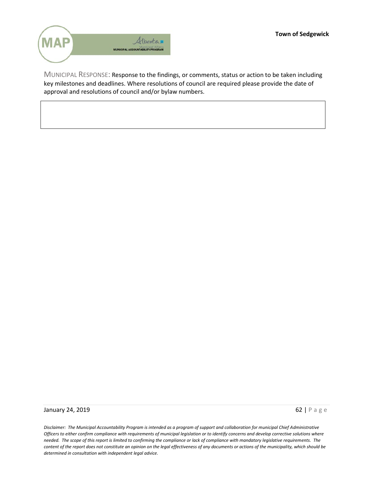

MUNICIPAL RESPONSE: Response to the findings, or comments, status or action to be taken including key milestones and deadlines. Where resolutions of council are required please provide the date of approval and resolutions of council and/or bylaw numbers.

January 24, 2019 **62 | Page 12019** 62 | Page 12019 62 | Page 12021 62 | Page 12021 62 | Page 12022 62 | Page 12022 62 | Page 12022 62 | Page 12022 62 | Page 12022 62 | Page 12022 62 | Page 12022 62 | Page 12022 62 | Page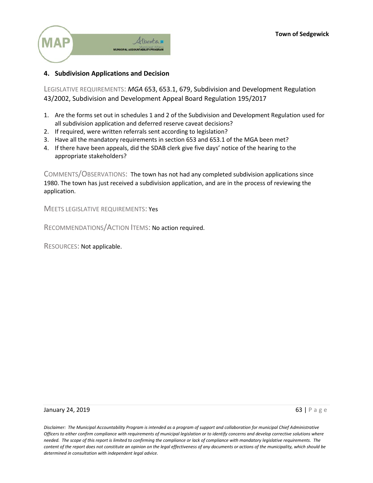

# **4. Subdivision Applications and Decision**

LEGISLATIVE REQUIREMENTS: *MGA* 653, 653.1, 679, Subdivision and Development Regulation 43/2002, Subdivision and Development Appeal Board Regulation 195/2017

- 1. Are the forms set out in schedules 1 and 2 of the Subdivision and Development Regulation used for all subdivision application and deferred reserve caveat decisions?
- 2. If required, were written referrals sent according to legislation?
- 3. Have all the mandatory requirements in section 653 and 653.1 of the MGA been met?
- 4. If there have been appeals, did the SDAB clerk give five days' notice of the hearing to the appropriate stakeholders?

COMMENTS/OBSERVATIONS: The town has not had any completed subdivision applications since 1980. The town has just received a subdivision application, and are in the process of reviewing the application.

MEETS LEGISLATIVE REQUIREMENTS: Yes

RECOMMENDATIONS/ACTION ITEMS: No action required.

RESOURCES: Not applicable.

January 24, 2019 **63 | Page 12019** 63 | Page 12019 63 | Page 12019 63 | Page 12019 63 | Page 12019 63 | Page 12019 63 | Page 12019 63 | Page 12019 63 | Page 12019 63 | Page 12019 63 | Page 12019 63 | Page 12019 63 | Page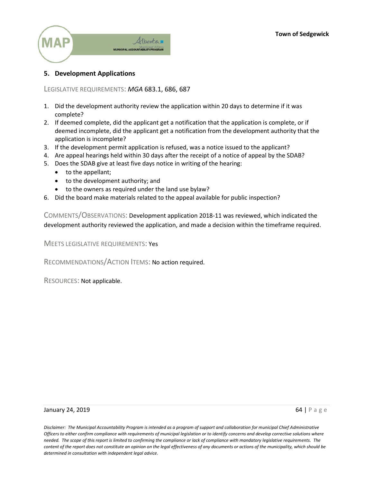

## **5. Development Applications**

LEGISLATIVE REQUIREMENTS: *MGA* 683.1, 686, 687

- 1. Did the development authority review the application within 20 days to determine if it was complete?
- 2. If deemed complete, did the applicant get a notification that the application is complete, or if deemed incomplete, did the applicant get a notification from the development authority that the application is incomplete?
- 3. If the development permit application is refused, was a notice issued to the applicant?
- 4. Are appeal hearings held within 30 days after the receipt of a notice of appeal by the SDAB?
- 5. Does the SDAB give at least five days notice in writing of the hearing:
	- $\bullet$  to the appellant;
	- $\bullet$  to the development authority; and
	- to the owners as required under the land use bylaw?
- 6. Did the board make materials related to the appeal available for public inspection?

COMMENTS/OBSERVATIONS: Development application 2018-11 was reviewed, which indicated the development authority reviewed the application, and made a decision within the timeframe required.

MEETS LEGISLATIVE REQUIREMENTS: Yes

RECOMMENDATIONS/ACTION ITEMS: No action required.

RESOURCES: Not applicable.

#### January 24, 2019 **64 | Page 12019** 64 | Page 12019 64 | Page 12019 64 | Page 12019 64 | Page 12019 64 | Page 12019 64 | Page 12019 64 | Page 12019 64 | Page 12019 64 | Page 12019 65 | Page 12019 65 | Page 12019 65 | Page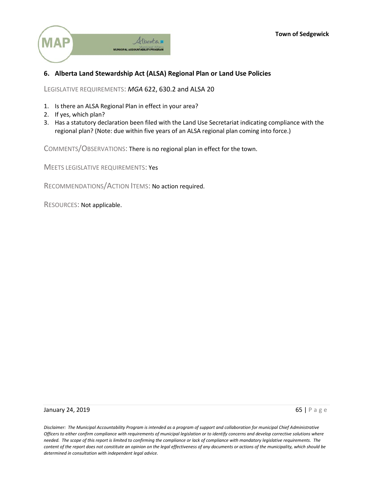

# **6. Alberta Land Stewardship Act (ALSA) Regional Plan or Land Use Policies**

LEGISLATIVE REQUIREMENTS: *MGA* 622, 630.2 and ALSA 20

- 1. Is there an ALSA Regional Plan in effect in your area?
- 2. If yes, which plan?
- 3. Has a statutory declaration been filed with the Land Use Secretariat indicating compliance with the regional plan? (Note: due within five years of an ALSA regional plan coming into force.)

COMMENTS/OBSERVATIONS: There is no regional plan in effect for the town.

MEETS LEGISLATIVE REQUIREMENTS: Yes

RECOMMENDATIONS/ACTION ITEMS: No action required.

RESOURCES: Not applicable.

January 24, 2019 **65 | Page 12019** 65 | Page 12019 65 | Page 12019 65 | Page 12021 65 | Page 12021 65 | Page 12021 65 | Page 12021 65 | Page 12022 65 | Page 12022 65 | Page 12022 65 | Page 12022 65 | Page 12022 65 | Page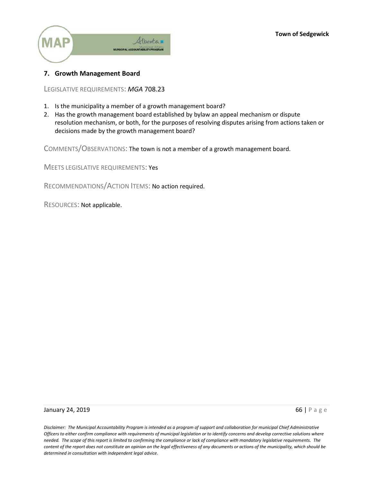

### **7. Growth Management Board**

LEGISLATIVE REQUIREMENTS: *MGA* 708.23

- 1. Is the municipality a member of a growth management board?
- 2. Has the growth management board established by bylaw an appeal mechanism or dispute resolution mechanism, or both, for the purposes of resolving disputes arising from actions taken or decisions made by the growth management board?

COMMENTS/OBSERVATIONS: The town is not a member of a growth management board.

MEETS LEGISLATIVE REQUIREMENTS: Yes

RECOMMENDATIONS/ACTION ITEMS: No action required.

RESOURCES: Not applicable.

January 24, 2019 66 | Page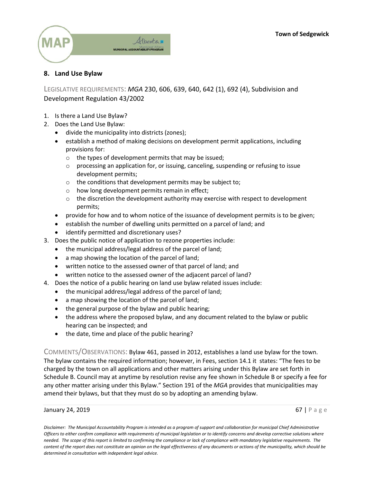

# **8. Land Use Bylaw**

LEGISLATIVE REQUIREMENTS: *MGA* 230, 606, 639, 640, 642 (1), 692 (4), Subdivision and Development Regulation 43/2002

- 1. Is there a Land Use Bylaw?
- 2. Does the Land Use Bylaw:
	- divide the municipality into districts (zones);
	- establish a method of making decisions on development permit applications, including provisions for:
		- o the types of development permits that may be issued;
		- $\circ$  processing an application for, or issuing, canceling, suspending or refusing to issue development permits;
		- o the conditions that development permits may be subject to;
		- o how long development permits remain in effect;
		- $\circ$  the discretion the development authority may exercise with respect to development permits;
	- provide for how and to whom notice of the issuance of development permits is to be given;
	- establish the number of dwelling units permitted on a parcel of land; and
	- identify permitted and discretionary uses?
- 3. Does the public notice of application to rezone properties include:
	- the municipal address/legal address of the parcel of land;
	- a map showing the location of the parcel of land;
	- written notice to the assessed owner of that parcel of land; and
	- written notice to the assessed owner of the adjacent parcel of land?
- 4. Does the notice of a public hearing on land use bylaw related issues include:
	- the municipal address/legal address of the parcel of land;
	- a map showing the location of the parcel of land;
	- the general purpose of the bylaw and public hearing;
	- the address where the proposed bylaw, and any document related to the bylaw or public hearing can be inspected; and
	- the date, time and place of the public hearing?

COMMENTS/OBSERVATIONS: Bylaw 461, passed in 2012, establishes a land use bylaw for the town. The bylaw contains the required information; however, in Fees, section 14.1 it states: "The fees to be charged by the town on all applications and other matters arising under this Bylaw are set forth in Schedule B. Council may at anytime by resolution revise any fee shown in Schedule B or specify a fee for any other matter arising under this Bylaw." Section 191 of the *MGA* provides that municipalities may amend their bylaws, but that they must do so by adopting an amending bylaw.

January 24, 2019 **67 | Page 12019** 67 | Page 12019 67 | Page 12019 67 | Page 12021 67 | Page 12021 67 | Page 12021 67 | Page 12021 67 | Page 12022 67 | Page 12022 67 | Page 12022 67 | Page 12022 67 | Page 12022 67 | Page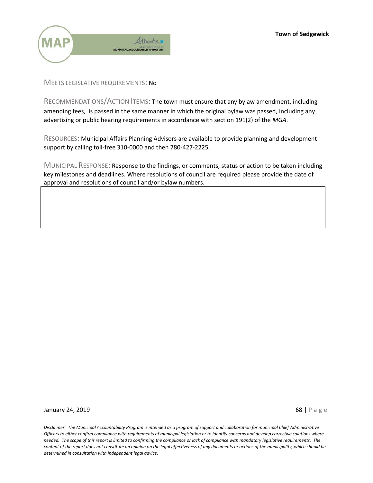

### MEETS LEGISLATIVE REQUIREMENTS: No

RECOMMENDATIONS/ACTION ITEMS: The town must ensure that any bylaw amendment, including amending fees, is passed in the same manner in which the original bylaw was passed, including any advertising or public hearing requirements in accordance with section 191(2) of the *MGA*.

RESOURCES: Municipal Affairs Planning Advisors are available to provide planning and development support by calling toll-free 310-0000 and then 780-427-2225.

MUNICIPAL RESPONSE: Response to the findings, or comments, status or action to be taken including key milestones and deadlines. Where resolutions of council are required please provide the date of approval and resolutions of council and/or bylaw numbers.

January 24, 2019 68 | Page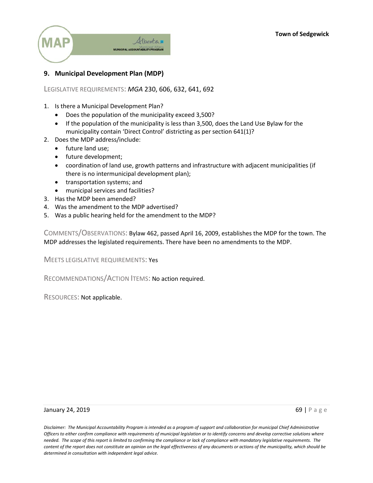

# **9. Municipal Development Plan (MDP)**

### LEGISLATIVE REQUIREMENTS: *MGA* 230, 606, 632, 641, 692

- 1. Is there a Municipal Development Plan?
	- Does the population of the municipality exceed 3,500?
	- If the population of the municipality is less than 3,500, does the Land Use Bylaw for the municipality contain 'Direct Control' districting as per section 641(1)?
- 2. Does the MDP address/include:
	- future land use;
	- future development;
	- coordination of land use, growth patterns and infrastructure with adjacent municipalities (if there is no intermunicipal development plan);
	- transportation systems; and
	- municipal services and facilities?
- 3. Has the MDP been amended?
- 4. Was the amendment to the MDP advertised?
- 5. Was a public hearing held for the amendment to the MDP?

COMMENTS/OBSERVATIONS: Bylaw 462, passed April 16, 2009, establishes the MDP for the town. The MDP addresses the legislated requirements. There have been no amendments to the MDP.

MEETS LEGISLATIVE REQUIREMENTS: Yes

RECOMMENDATIONS/ACTION ITEMS: No action required.

RESOURCES: Not applicable.

January 24, 2019 69 | Page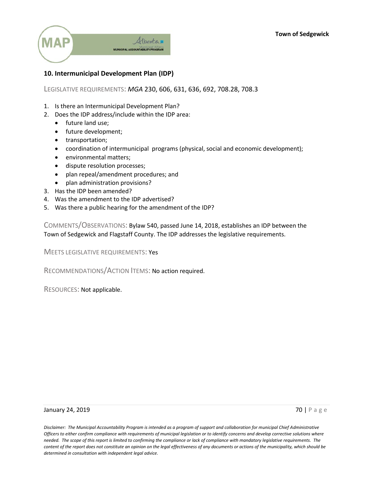

# **10. Intermunicipal Development Plan (IDP)**

## LEGISLATIVE REQUIREMENTS: *MGA* 230, 606, 631, 636, 692, 708.28, 708.3

- 1. Is there an Intermunicipal Development Plan?
- 2. Does the IDP address/include within the IDP area:
	- future land use;
	- future development;
	- transportation;
	- coordination of intermunicipal programs (physical, social and economic development);
	- environmental matters;
	- dispute resolution processes;
	- plan repeal/amendment procedures; and
	- plan administration provisions?
- 3. Has the IDP been amended?
- 4. Was the amendment to the IDP advertised?
- 5. Was there a public hearing for the amendment of the IDP?

COMMENTS/OBSERVATIONS: Bylaw 540, passed June 14, 2018, establishes an IDP between the Town of Sedgewick and Flagstaff County. The IDP addresses the legislative requirements.

MEETS LEGISLATIVE REQUIREMENTS: Yes

RECOMMENDATIONS/ACTION ITEMS: No action required.

RESOURCES: Not applicable.

#### January 24, 2019  $\blacksquare$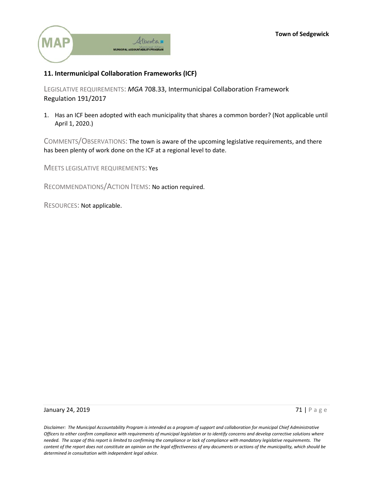

# **11. Intermunicipal Collaboration Frameworks (ICF)**

LEGISLATIVE REQUIREMENTS: *MGA* 708.33, Intermunicipal Collaboration Framework Regulation 191/2017

1. Has an ICF been adopted with each municipality that shares a common border? (Not applicable until April 1, 2020.)

COMMENTS/OBSERVATIONS: The town is aware of the upcoming legislative requirements, and there has been plenty of work done on the ICF at a regional level to date.

MEETS LEGISLATIVE REQUIREMENTS: Yes

RECOMMENDATIONS/ACTION ITEMS: No action required.

RESOURCES: Not applicable.

January 24, 2019  $\overline{71}$  | P a g e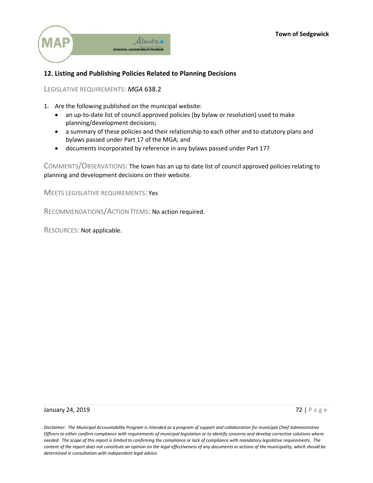

## **12. Listing and Publishing Policies Related to Planning Decisions**

LEGISLATIVE REQUIREMENTS: *MGA* 638.2

- 1. Are the following published on the municipal website:
	- an up-to-date list of council approved policies (by bylaw or resolution) used to make planning/development decisions;
	- a summary of these policies and their relationship to each other and to statutory plans and bylaws passed under Part 17 of the MGA; and
	- documents incorporated by reference in any bylaws passed under Part 17?

COMMENTS/OBSERVATIONS: The town has an up to date list of council approved policies relating to planning and development decisions on their website.

MEETS LEGISLATIVE REQUIREMENTS: Yes

RECOMMENDATIONS/ACTION ITEMS: No action required.

RESOURCES: Not applicable.

January 24, 2019  $\overline{2}$  | Page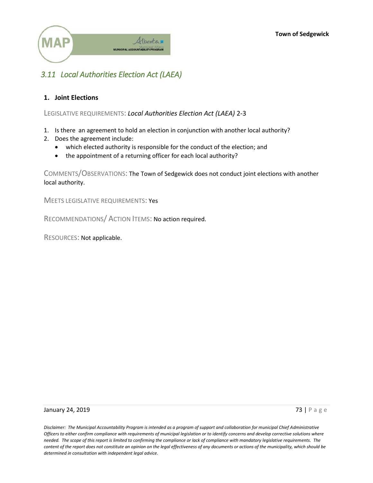

# *3.11 Local Authorities Election Act (LAEA)*

#### **1. Joint Elections**

LEGISLATIVE REQUIREMENTS: *Local Authorities Election Act (LAEA)* 2-3

- 1. Is there an agreement to hold an election in conjunction with another local authority?
- 2. Does the agreement include:
	- which elected authority is responsible for the conduct of the election; and
	- the appointment of a returning officer for each local authority?

COMMENTS/OBSERVATIONS: The Town of Sedgewick does not conduct joint elections with another local authority.

MEETS LEGISLATIVE REQUIREMENTS: Yes

RECOMMENDATIONS/ ACTION ITEMS: No action required.

RESOURCES: Not applicable.

January 24, 2019  $\overline{73}$  | Page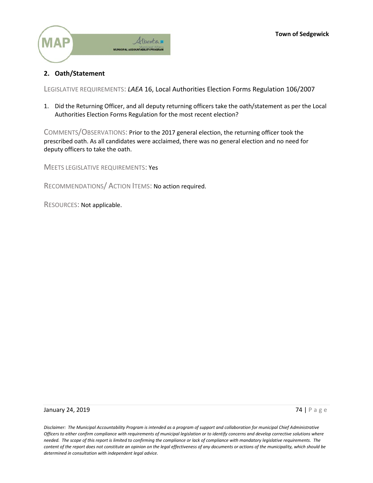

### **2. Oath/Statement**

LEGISLATIVE REQUIREMENTS: *LAEA* 16, Local Authorities Election Forms Regulation 106/2007

1. Did the Returning Officer, and all deputy returning officers take the oath/statement as per the Local Authorities Election Forms Regulation for the most recent election?

COMMENTS/OBSERVATIONS: Prior to the 2017 general election, the returning officer took the prescribed oath. As all candidates were acclaimed, there was no general election and no need for deputy officers to take the oath.

MEETS LEGISLATIVE REQUIREMENTS: Yes

RECOMMENDATIONS/ ACTION ITEMS: No action required.

RESOURCES: Not applicable.

January 24, 2019 **74 | Page 12019** 74 | Page 12019 74 | Page 12019 74 | Page 12019 74 | Page 12019 75 12019 75 1202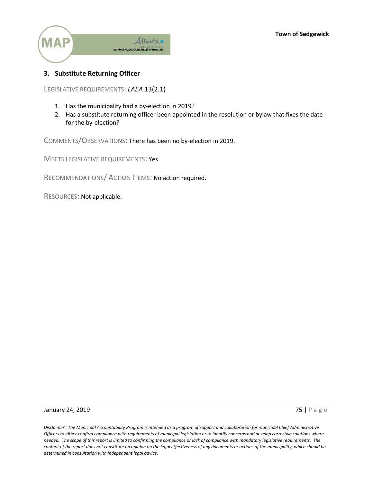

#### **3. Substitute Returning Officer**

LEGISLATIVE REQUIREMENTS: *LAEA* 13(2.1)

- 1. Has the municipality had a by-election in 2019?
- 2. Has a substitute returning officer been appointed in the resolution or bylaw that fixes the date for the by-election?

COMMENTS/OBSERVATIONS: There has been no by-election in 2019.

MEETS LEGISLATIVE REQUIREMENTS: Yes

RECOMMENDATIONS/ ACTION ITEMS: No action required.

RESOURCES: Not applicable.

**January 24, 2019** 75 | Page 2019 75 | Page 2019 75 | Page 2019 75 | Page 2019 75 | Page 2019 75 | Page 2019 75 | Page 2019 75 | Page 2019 75 | Page 2019 75 | Page 2019 75 | Page 2019 75 | Page 2019 75 | Page 2019 75 | Pag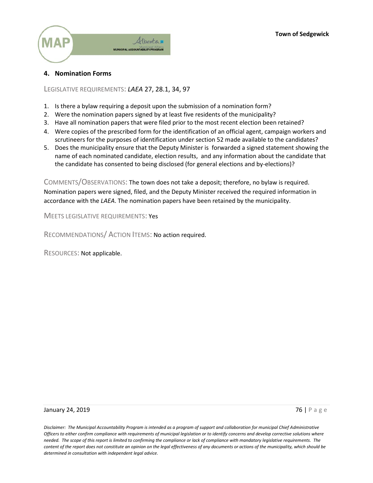

#### **4. Nomination Forms**

#### LEGISLATIVE REQUIREMENTS: *LAEA* 27, 28.1, 34, 97

- 1. Is there a bylaw requiring a deposit upon the submission of a nomination form?
- 2. Were the nomination papers signed by at least five residents of the municipality?
- 3. Have all nomination papers that were filed prior to the most recent election been retained?
- 4. Were copies of the prescribed form for the identification of an official agent, campaign workers and scrutineers for the purposes of identification under section 52 made available to the candidates?
- 5. Does the municipality ensure that the Deputy Minister is forwarded a signed statement showing the name of each nominated candidate, election results, and any information about the candidate that the candidate has consented to being disclosed (for general elections and by-elections)?

COMMENTS/OBSERVATIONS: The town does not take a deposit; therefore, no bylaw is required. Nomination papers were signed, filed, and the Deputy Minister received the required information in accordance with the *LAEA*. The nomination papers have been retained by the municipality.

MEETS LEGISLATIVE REQUIREMENTS: Yes

RECOMMENDATIONS/ ACTION ITEMS: No action required.

RESOURCES: Not applicable.

January 24, 2019  $\overline{76}$  | Page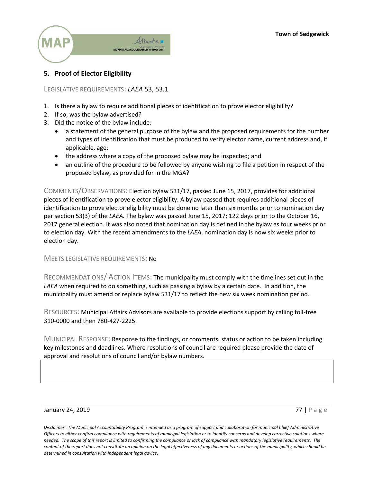

## **5. Proof of Elector Eligibility**

#### LEGISLATIVE REQUIREMENTS: *LAEA* 53, 53.1

- 1. Is there a bylaw to require additional pieces of identification to prove elector eligibility?
- 2. If so, was the bylaw advertised?
- 3. Did the notice of the bylaw include:
	- a statement of the general purpose of the bylaw and the proposed requirements for the number and types of identification that must be produced to verify elector name, current address and, if applicable, age;
	- $\bullet$  the address where a copy of the proposed bylaw may be inspected; and
	- an outline of the procedure to be followed by anyone wishing to file a petition in respect of the proposed bylaw, as provided for in the MGA?

COMMENTS/OBSERVATIONS: Election bylaw 531/17, passed June 15, 2017, provides for additional pieces of identification to prove elector eligibility. A bylaw passed that requires additional pieces of identification to prove elector eligibility must be done no later than six months prior to nomination day per section 53(3) of the *LAEA.* The bylaw was passed June 15, 2017; 122 days prior to the October 16, 2017 general election. It was also noted that nomination day is defined in the bylaw as four weeks prior to election day. With the recent amendments to the *LAEA*, nomination day is now six weeks prior to election day.

#### MEETS LEGISLATIVE REQUIREMENTS: No

RECOMMENDATIONS/ ACTION ITEMS: The municipality must comply with the timelines set out in the *LAEA* when required to do something, such as passing a bylaw by a certain date. In addition, the municipality must amend or replace bylaw 531/17 to reflect the new six week nomination period.

RESOURCES: Municipal Affairs Advisors are available to provide elections support by calling toll-free 310-0000 and then 780-427-2225.

MUNICIPAL RESPONSE: Response to the findings, or comments, status or action to be taken including key milestones and deadlines. Where resolutions of council are required please provide the date of approval and resolutions of council and/or bylaw numbers.

#### **January 24, 2019** 77 | Page 2019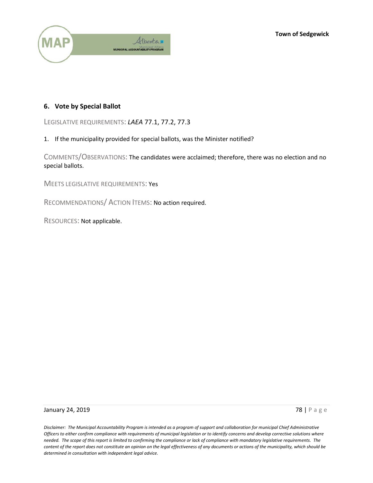

#### **6. Vote by Special Ballot**

LEGISLATIVE REQUIREMENTS: *LAEA* 77.1, 77.2, 77.3

1. If the municipality provided for special ballots, was the Minister notified?

COMMENTS/OBSERVATIONS: The candidates were acclaimed; therefore, there was no election and no special ballots.

MEETS LEGISLATIVE REQUIREMENTS: Yes

RECOMMENDATIONS/ ACTION ITEMS: No action required.

RESOURCES: Not applicable.

January 24, 2019 **78 | Page 12019** 78 | Page 12019 78 | Page 12019 78 | Page 12019 78 | Page 12019 78 | Page 12019 78 | Page 12019 78 | Page 12019 78 | Page 12019 78 | Page 12019 78 | Page 12019 78 | Page 12019 78 | Page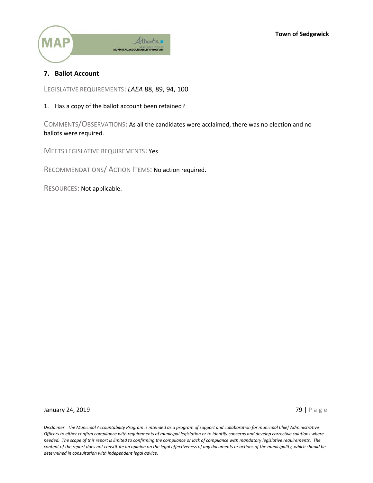**Town of Sedgewick**



#### **7. Ballot Account**

LEGISLATIVE REQUIREMENTS: *LAEA* 88, 89, 94, 100

#### 1. Has a copy of the ballot account been retained?

COMMENTS/OBSERVATIONS: As all the candidates were acclaimed, there was no election and no ballots were required.

MEETS LEGISLATIVE REQUIREMENTS: Yes

RECOMMENDATIONS/ ACTION ITEMS: No action required.

RESOURCES: Not applicable.

January 24, 2019 **79 | Page 12019** 79 | Page 12019 79 | Page 12019 79 | Page 12021 79 | Page 12021 79 | Page 12021 79 | Page 12021 79 | Page 12022 79 | Page 12022 79 | Page 12022 79 | Page 12022 79 | Page 12022 79 | Page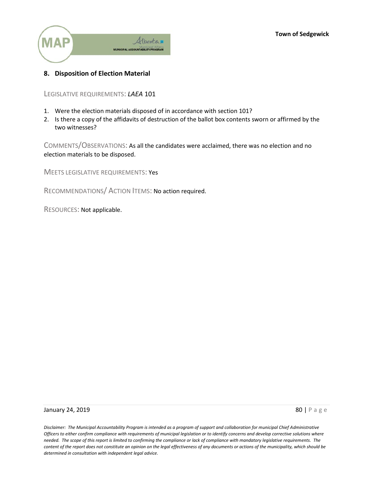

## **8. Disposition of Election Material**

LEGISLATIVE REQUIREMENTS: *LAEA* 101

- 1. Were the election materials disposed of in accordance with section 101?
- 2. Is there a copy of the affidavits of destruction of the ballot box contents sworn or affirmed by the two witnesses?

COMMENTS/OBSERVATIONS: As all the candidates were acclaimed, there was no election and no election materials to be disposed.

MEETS LEGISLATIVE REQUIREMENTS: Yes

RECOMMENDATIONS/ ACTION ITEMS: No action required.

RESOURCES: Not applicable.

January 24, 2019  $\blacksquare$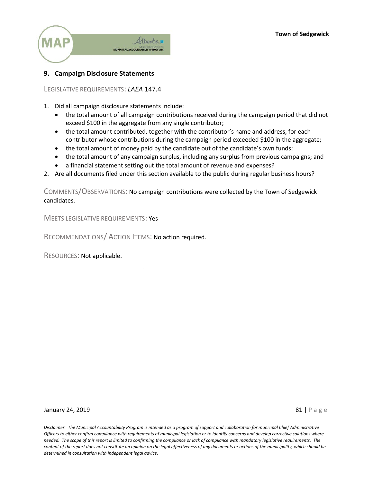

## **9. Campaign Disclosure Statements**

LEGISLATIVE REQUIREMENTS: *LAEA* 147.4

- 1. Did all campaign disclosure statements include:
	- the total amount of all campaign contributions received during the campaign period that did not exceed \$100 in the aggregate from any single contributor;
	- the total amount contributed, together with the contributor's name and address, for each contributor whose contributions during the campaign period exceeded \$100 in the aggregate;
	- the total amount of money paid by the candidate out of the candidate's own funds;
	- the total amount of any campaign surplus, including any surplus from previous campaigns; and
	- a financial statement setting out the total amount of revenue and expenses?
- 2. Are all documents filed under this section available to the public during regular business hours?

COMMENTS/OBSERVATIONS: No campaign contributions were collected by the Town of Sedgewick candidates.

MEETS LEGISLATIVE REQUIREMENTS: Yes

RECOMMENDATIONS/ ACTION ITEMS: No action required.

RESOURCES: Not applicable.

January 24, 2019  $\begin{array}{c} 81 \mid P \text{ a } g \text{ e} \end{array}$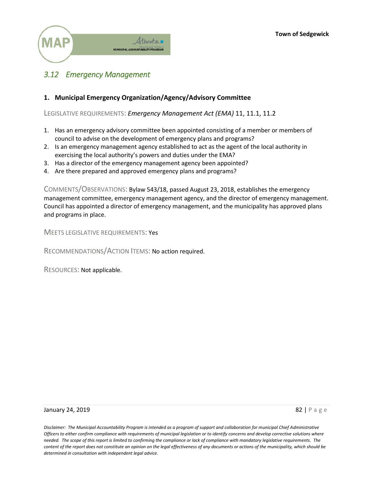

# *3.12 Emergency Management*

## **1. Municipal Emergency Organization/Agency/Advisory Committee**

LEGISLATIVE REQUIREMENTS: *Emergency Management Act (EMA)* 11, 11.1, 11.2

- 1. Has an emergency advisory committee been appointed consisting of a member or members of council to advise on the development of emergency plans and programs?
- 2. Is an emergency management agency established to act as the agent of the local authority in exercising the local authority's powers and duties under the EMA?
- 3. Has a director of the emergency management agency been appointed?
- 4. Are there prepared and approved emergency plans and programs?

COMMENTS/OBSERVATIONS: Bylaw 543/18, passed August 23, 2018, establishes the emergency management committee, emergency management agency, and the director of emergency management. Council has appointed a director of emergency management, and the municipality has approved plans and programs in place.

MEETS LEGISLATIVE REQUIREMENTS: Yes

RECOMMENDATIONS/ACTION ITEMS: No action required.

RESOURCES: Not applicable.

January 24, 2019  $\overline{a}$  Page 1 and  $\overline{a}$  B  $\overline{a}$  B  $\overline{a}$  B  $\overline{a}$  B  $\overline{a}$  B  $\overline{a}$  B  $\overline{a}$  B  $\overline{a}$  B  $\overline{a}$  B  $\overline{a}$  B  $\overline{a}$  B  $\overline{a}$  B  $\overline{a}$  B  $\overline{a}$  B  $\overline{a}$  B  $\overline{a}$  B  $\overline{a}$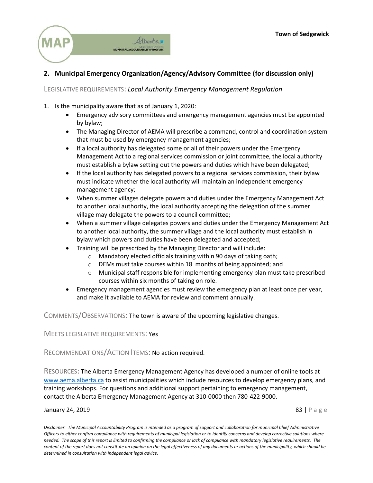

## **2. Municipal Emergency Organization/Agency/Advisory Committee (for discussion only)**

LEGISLATIVE REQUIREMENTS: *Local Authority Emergency Management Regulation*

- 1. Is the municipality aware that as of January 1, 2020:
	- x Emergency advisory committees and emergency management agencies must be appointed by bylaw;
	- The Managing Director of AEMA will prescribe a command, control and coordination system that must be used by emergency management agencies;
	- If a local authority has delegated some or all of their powers under the Emergency Management Act to a regional services commission or joint committee, the local authority must establish a bylaw setting out the powers and duties which have been delegated;
	- If the local authority has delegated powers to a regional services commission, their bylaw must indicate whether the local authority will maintain an independent emergency management agency;
	- When summer villages delegate powers and duties under the Emergency Management Act to another local authority, the local authority accepting the delegation of the summer village may delegate the powers to a council committee;
	- When a summer village delegates powers and duties under the Emergency Management Act to another local authority, the summer village and the local authority must establish in bylaw which powers and duties have been delegated and accepted;
	- x Training will be prescribed by the Managing Director and will include:
		- o Mandatory elected officials training within 90 days of taking oath;
		- o DEMs must take courses within 18 months of being appointed; and
		- o Municipal staff responsible for implementing emergency plan must take prescribed courses within six months of taking on role.
	- $\bullet$  Emergency management agencies must review the emergency plan at least once per year, and make it available to AEMA for review and comment annually.

COMMENTS/OBSERVATIONS: The town is aware of the upcoming legislative changes.

#### MEETS LEGISLATIVE REQUIREMENTS: Yes

RECOMMENDATIONS/ACTION ITEMS: No action required.

RESOURCES: The Alberta Emergency Management Agency has developed a number of online tools at [www.aema.alberta.ca](http://www.aema.alberta.ca/) to assist municipalities which include resources to develop emergency plans, and training workshops. For questions and additional support pertaining to emergency management, contact the Alberta Emergency Management Agency at 310-0000 then 780-422-9000.

January 24, 2019  $\blacksquare$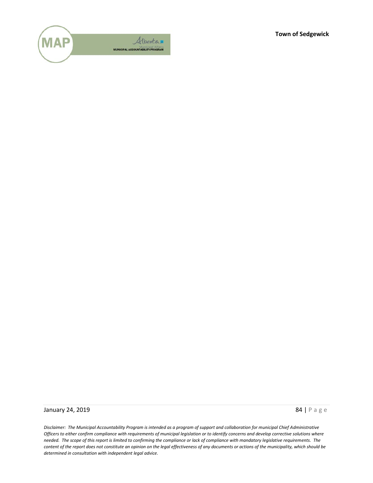**Town of Sedgewick**



#### January 24, 2019 **84 | Page 19:20 19:20 19:20 19:20 19:20 19:20 19:20 19:20 19:20 19:20 19:20 19:20 19:20 19:20**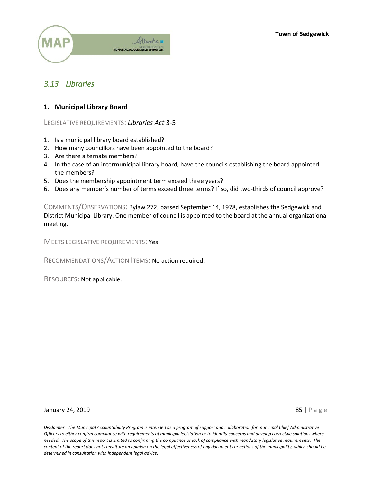

## *3.13 Libraries*

#### **1. Municipal Library Board**

LEGISLATIVE REQUIREMENTS: *Libraries Act* 3-5

- 1. Is a municipal library board established?
- 2. How many councillors have been appointed to the board?
- 3. Are there alternate members?
- 4. In the case of an intermunicipal library board, have the councils establishing the board appointed the members?
- 5. Does the membership appointment term exceed three years?
- 6. Does any member's number of terms exceed three terms? If so, did two-thirds of council approve?

COMMENTS/OBSERVATIONS: Bylaw 272, passed September 14, 1978, establishes the Sedgewick and District Municipal Library. One member of council is appointed to the board at the annual organizational meeting.

MEETS LEGISLATIVE REQUIREMENTS: Yes

RECOMMENDATIONS/ACTION ITEMS: No action required.

RESOURCES: Not applicable.

#### January 24, 2019  $\blacksquare$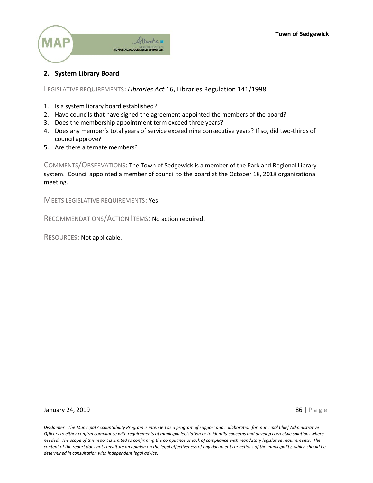

## **2. System Library Board**

LEGISLATIVE REQUIREMENTS: *Libraries Act* 16, Libraries Regulation 141/1998

- 1. Is a system library board established?
- 2. Have councils that have signed the agreement appointed the members of the board?
- 3. Does the membership appointment term exceed three years?
- 4. Does any member's total years of service exceed nine consecutive years? If so, did two-thirds of council approve?
- 5. Are there alternate members?

COMMENTS/OBSERVATIONS: The Town of Sedgewick is a member of the Parkland Regional Library system. Council appointed a member of council to the board at the October 18, 2018 organizational meeting.

MEETS LEGISLATIVE REQUIREMENTS: Yes

RECOMMENDATIONS/ACTION ITEMS: No action required.

RESOURCES: Not applicable.

January 24, 2019 **86 Page 12, 2019** 86 Page 2012 86 Page 2012 86 Page 2012 86 Page 2012 86 Page 2012 86 Page 201